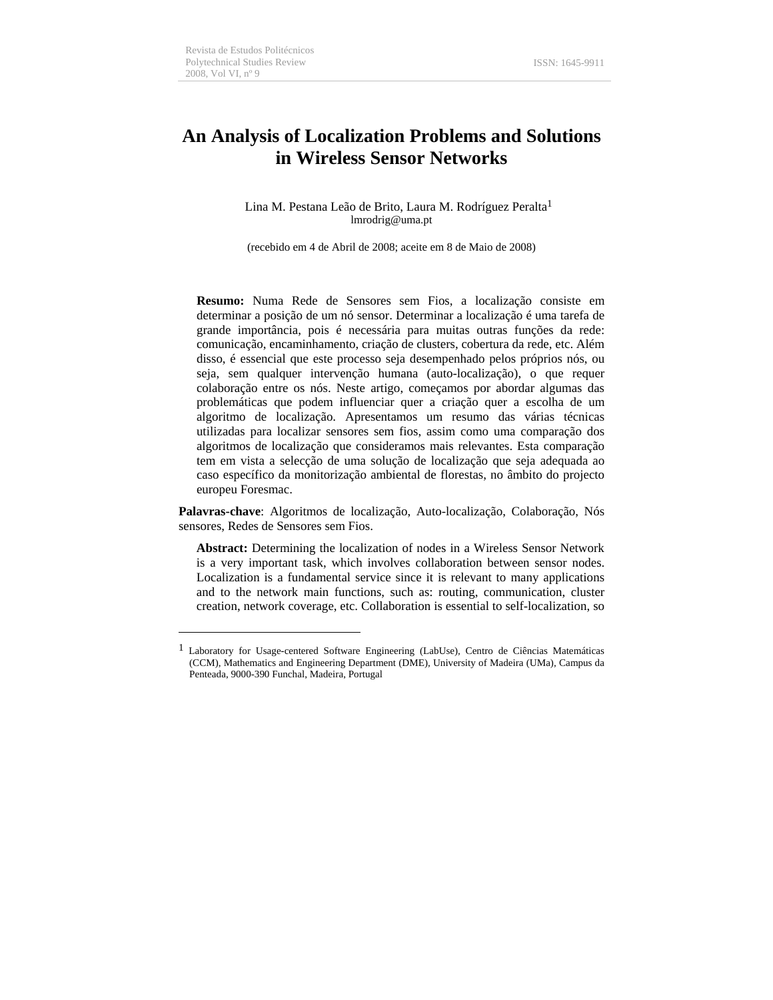# **An Analysis of Localization Problems and Solutions in Wireless Sensor Networks**

Lina M. Pestana Leão de Brito, Laura M. Rodríguez Peralta<sup>1</sup> lmrodrig@uma.pt

(recebido em 4 de Abril de 2008; aceite em 8 de Maio de 2008)

**Resumo:** Numa Rede de Sensores sem Fios, a localização consiste em determinar a posição de um nó sensor. Determinar a localização é uma tarefa de grande importância, pois é necessária para muitas outras funções da rede: comunicação, encaminhamento, criação de clusters, cobertura da rede, etc. Além disso, é essencial que este processo seja desempenhado pelos próprios nós, ou seja, sem qualquer intervenção humana (auto-localização), o que requer colaboração entre os nós. Neste artigo, começamos por abordar algumas das problemáticas que podem influenciar quer a criação quer a escolha de um algoritmo de localização. Apresentamos um resumo das várias técnicas utilizadas para localizar sensores sem fios, assim como uma comparação dos algoritmos de localização que consideramos mais relevantes. Esta comparação tem em vista a selecção de uma solução de localização que seja adequada ao caso específico da monitorização ambiental de florestas, no âmbito do projecto europeu Foresmac.

**Palavras-chave**: Algoritmos de localização, Auto-localização, Colaboração, Nós sensores, Redes de Sensores sem Fios.

**Abstract:** Determining the localization of nodes in a Wireless Sensor Network is a very important task, which involves collaboration between sensor nodes. Localization is a fundamental service since it is relevant to many applications and to the network main functions, such as: routing, communication, cluster creation, network coverage, etc. Collaboration is essential to self-localization, so

<sup>1</sup> Laboratory for Usage-centered Software Engineering (LabUse), Centro de Ciências Matemáticas (CCM), Mathematics and Engineering Department (DME), University of Madeira (UMa), Campus da Penteada, 9000-390 Funchal, Madeira, Portugal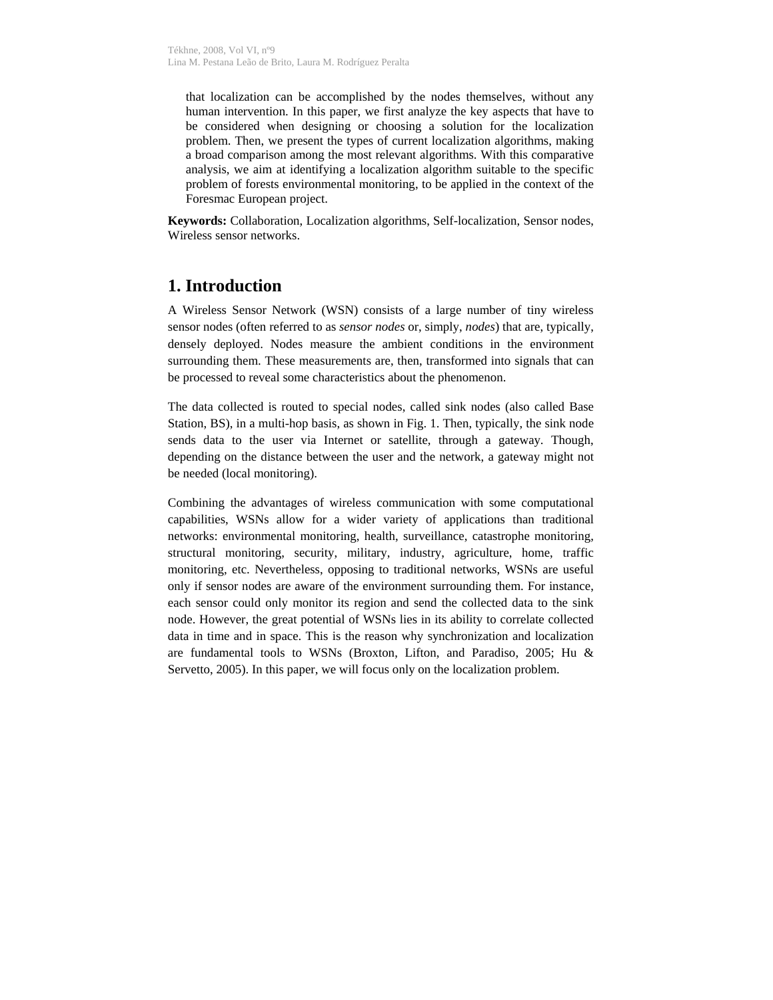that localization can be accomplished by the nodes themselves, without any human intervention. In this paper, we first analyze the key aspects that have to be considered when designing or choosing a solution for the localization problem. Then, we present the types of current localization algorithms, making a broad comparison among the most relevant algorithms. With this comparative analysis, we aim at identifying a localization algorithm suitable to the specific problem of forests environmental monitoring, to be applied in the context of the Foresmac European project.

**Keywords:** Collaboration, Localization algorithms, Self-localization, Sensor nodes, Wireless sensor networks.

## **1. Introduction**

A Wireless Sensor Network (WSN) consists of a large number of tiny wireless sensor nodes (often referred to as *sensor nodes* or, simply, *nodes*) that are, typically, densely deployed. Nodes measure the ambient conditions in the environment surrounding them. These measurements are, then, transformed into signals that can be processed to reveal some characteristics about the phenomenon.

The data collected is routed to special nodes, called sink nodes (also called Base Station, BS), in a multi-hop basis, as shown in Fig. 1. Then, typically, the sink node sends data to the user via Internet or satellite, through a gateway. Though, depending on the distance between the user and the network, a gateway might not be needed (local monitoring).

Combining the advantages of wireless communication with some computational capabilities, WSNs allow for a wider variety of applications than traditional networks: environmental monitoring, health, surveillance, catastrophe monitoring, structural monitoring, security, military, industry, agriculture, home, traffic monitoring, etc. Nevertheless, opposing to traditional networks, WSNs are useful only if sensor nodes are aware of the environment surrounding them. For instance, each sensor could only monitor its region and send the collected data to the sink node. However, the great potential of WSNs lies in its ability to correlate collected data in time and in space. This is the reason why synchronization and localization are fundamental tools to WSNs (Broxton, Lifton, and Paradiso, 2005; Hu & Servetto, 2005). In this paper, we will focus only on the localization problem.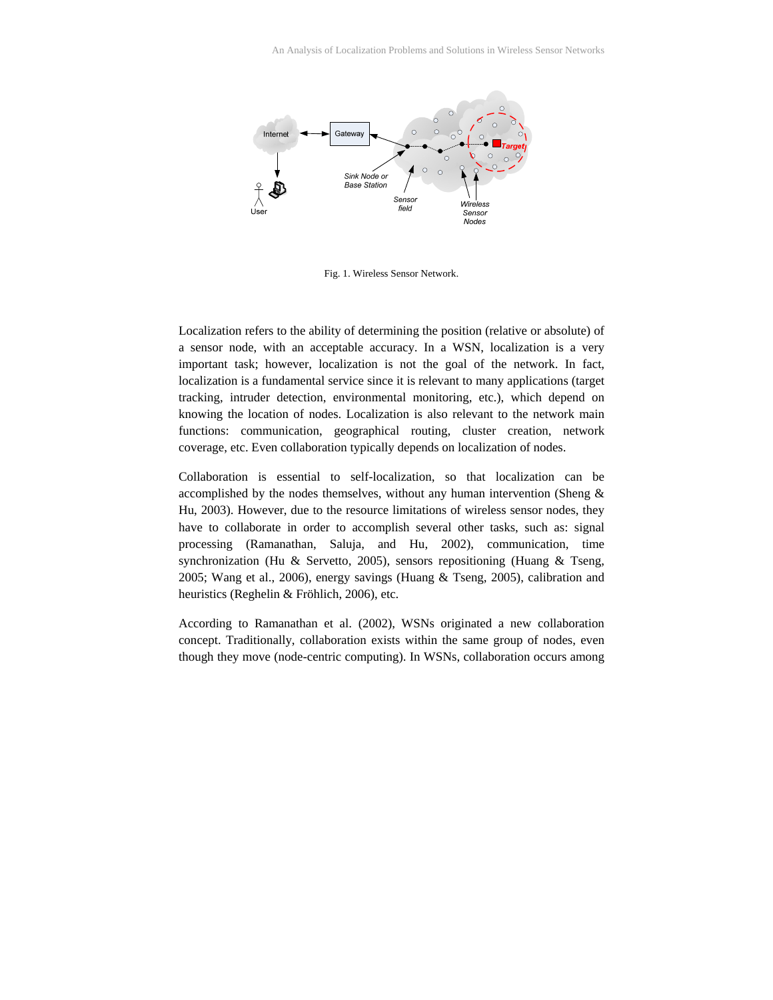

Fig. 1. Wireless Sensor Network.

Localization refers to the ability of determining the position (relative or absolute) of a sensor node, with an acceptable accuracy. In a WSN, localization is a very important task; however, localization is not the goal of the network. In fact, localization is a fundamental service since it is relevant to many applications (target tracking, intruder detection, environmental monitoring, etc.), which depend on knowing the location of nodes. Localization is also relevant to the network main functions: communication, geographical routing, cluster creation, network coverage, etc. Even collaboration typically depends on localization of nodes.

Collaboration is essential to self-localization, so that localization can be accomplished by the nodes themselves, without any human intervention (Sheng & Hu, 2003). However, due to the resource limitations of wireless sensor nodes, they have to collaborate in order to accomplish several other tasks, such as: signal processing (Ramanathan, Saluja, and Hu, 2002), communication, time synchronization (Hu & Servetto, 2005), sensors repositioning (Huang & Tseng, 2005; Wang et al., 2006), energy savings (Huang & Tseng, 2005), calibration and heuristics (Reghelin & Fröhlich, 2006), etc.

According to Ramanathan et al. (2002), WSNs originated a new collaboration concept. Traditionally, collaboration exists within the same group of nodes, even though they move (node-centric computing). In WSNs, collaboration occurs among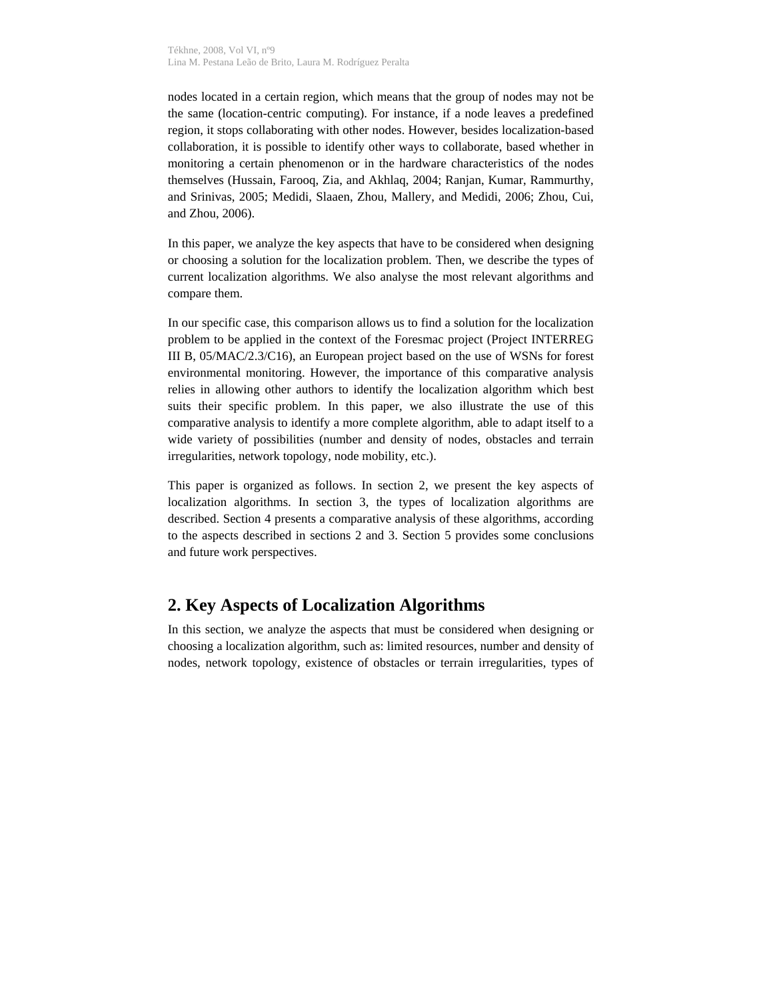nodes located in a certain region, which means that the group of nodes may not be the same (location-centric computing). For instance, if a node leaves a predefined region, it stops collaborating with other nodes. However, besides localization-based collaboration, it is possible to identify other ways to collaborate, based whether in monitoring a certain phenomenon or in the hardware characteristics of the nodes themselves (Hussain, Farooq, Zia, and Akhlaq, 2004; Ranjan, Kumar, Rammurthy, and Srinivas, 2005; Medidi, Slaaen, Zhou, Mallery, and Medidi, 2006; Zhou, Cui, and Zhou, 2006).

In this paper, we analyze the key aspects that have to be considered when designing or choosing a solution for the localization problem. Then, we describe the types of current localization algorithms. We also analyse the most relevant algorithms and compare them.

In our specific case, this comparison allows us to find a solution for the localization problem to be applied in the context of the Foresmac project (Project INTERREG III B, 05/MAC/2.3/C16), an European project based on the use of WSNs for forest environmental monitoring. However, the importance of this comparative analysis relies in allowing other authors to identify the localization algorithm which best suits their specific problem. In this paper, we also illustrate the use of this comparative analysis to identify a more complete algorithm, able to adapt itself to a wide variety of possibilities (number and density of nodes, obstacles and terrain irregularities, network topology, node mobility, etc.).

This paper is organized as follows. In section 2, we present the key aspects of localization algorithms. In section 3, the types of localization algorithms are described. Section 4 presents a comparative analysis of these algorithms, according to the aspects described in sections 2 and 3. Section 5 provides some conclusions and future work perspectives.

# **2. Key Aspects of Localization Algorithms**

In this section, we analyze the aspects that must be considered when designing or choosing a localization algorithm, such as: limited resources, number and density of nodes, network topology, existence of obstacles or terrain irregularities, types of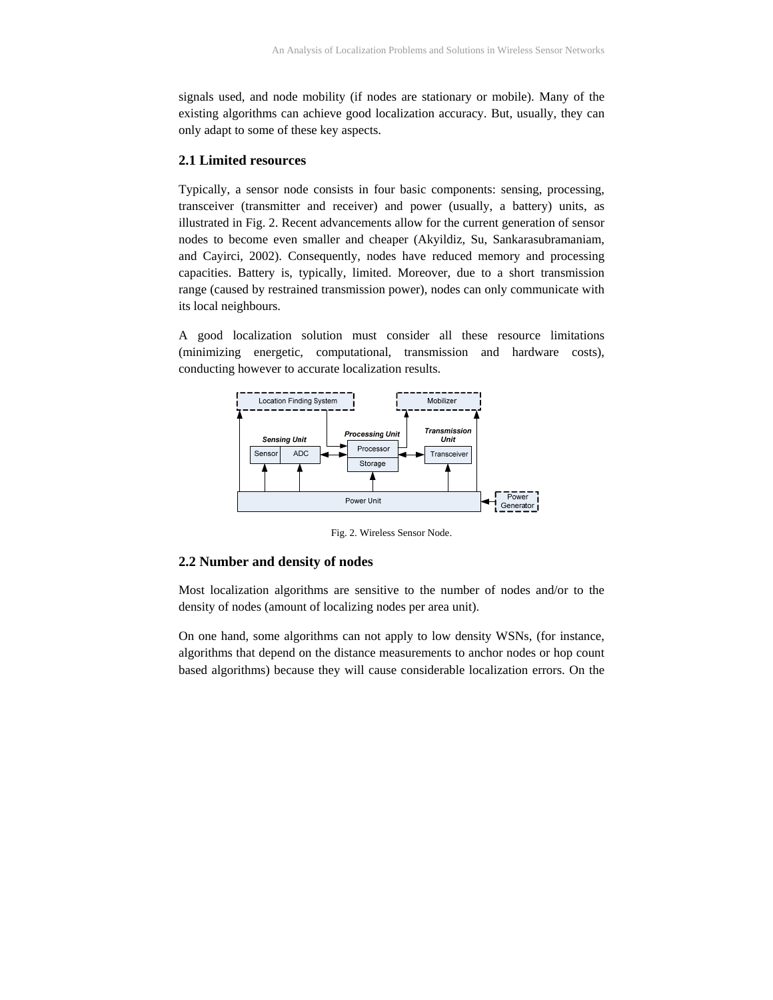signals used, and node mobility (if nodes are stationary or mobile). Many of the existing algorithms can achieve good localization accuracy. But, usually, they can only adapt to some of these key aspects.

#### **2.1 Limited resources**

Typically, a sensor node consists in four basic components: sensing, processing, transceiver (transmitter and receiver) and power (usually, a battery) units, as illustrated in Fig. 2. Recent advancements allow for the current generation of sensor nodes to become even smaller and cheaper (Akyildiz, Su, Sankarasubramaniam, and Cayirci, 2002). Consequently, nodes have reduced memory and processing capacities. Battery is, typically, limited. Moreover, due to a short transmission range (caused by restrained transmission power), nodes can only communicate with its local neighbours.

A good localization solution must consider all these resource limitations (minimizing energetic, computational, transmission and hardware costs), conducting however to accurate localization results.



Fig. 2. Wireless Sensor Node.

#### **2.2 Number and density of nodes**

Most localization algorithms are sensitive to the number of nodes and/or to the density of nodes (amount of localizing nodes per area unit).

On one hand, some algorithms can not apply to low density WSNs, (for instance, algorithms that depend on the distance measurements to anchor nodes or hop count based algorithms) because they will cause considerable localization errors. On the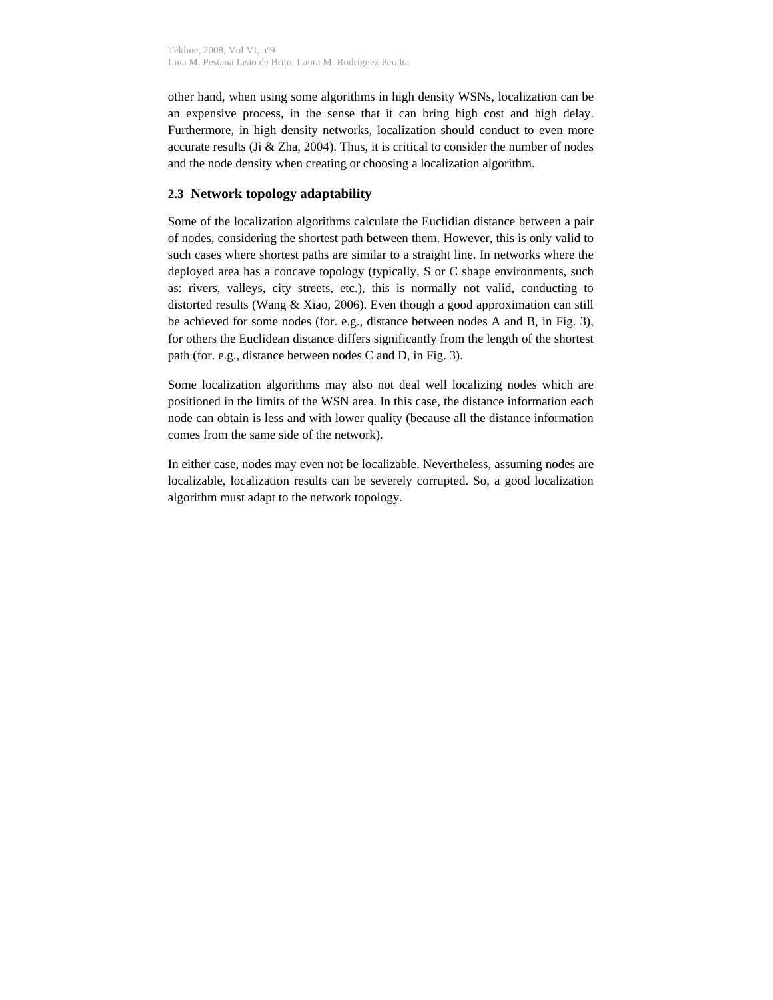other hand, when using some algorithms in high density WSNs, localization can be an expensive process, in the sense that it can bring high cost and high delay. Furthermore, in high density networks, localization should conduct to even more accurate results (Ji & Zha, 2004). Thus, it is critical to consider the number of nodes and the node density when creating or choosing a localization algorithm.

#### **2.3 Network topology adaptability**

Some of the localization algorithms calculate the Euclidian distance between a pair of nodes, considering the shortest path between them. However, this is only valid to such cases where shortest paths are similar to a straight line. In networks where the deployed area has a concave topology (typically, S or C shape environments, such as: rivers, valleys, city streets, etc.), this is normally not valid, conducting to distorted results (Wang & Xiao, 2006). Even though a good approximation can still be achieved for some nodes (for. e.g., distance between nodes A and B, in Fig. 3), for others the Euclidean distance differs significantly from the length of the shortest path (for. e.g., distance between nodes C and D, in Fig. 3).

Some localization algorithms may also not deal well localizing nodes which are positioned in the limits of the WSN area. In this case, the distance information each node can obtain is less and with lower quality (because all the distance information comes from the same side of the network).

In either case, nodes may even not be localizable. Nevertheless, assuming nodes are localizable, localization results can be severely corrupted. So, a good localization algorithm must adapt to the network topology.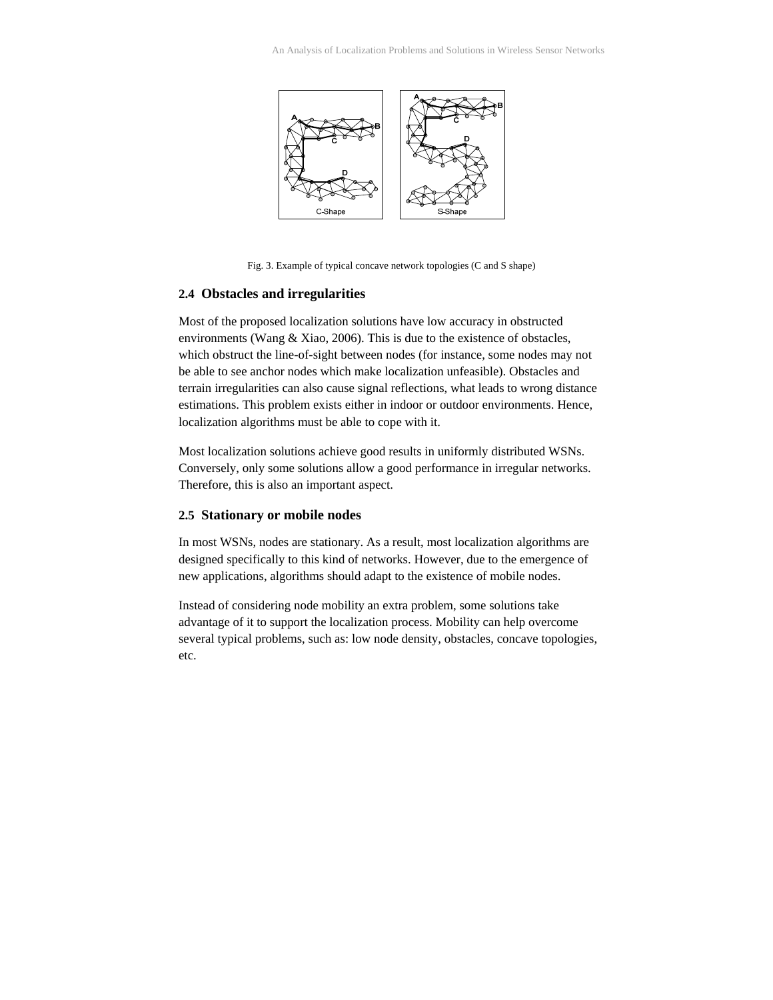

Fig. 3. Example of typical concave network topologies (C and S shape)

#### **2.4 Obstacles and irregularities**

Most of the proposed localization solutions have low accuracy in obstructed environments (Wang & Xiao, 2006). This is due to the existence of obstacles, which obstruct the line-of-sight between nodes (for instance, some nodes may not be able to see anchor nodes which make localization unfeasible). Obstacles and terrain irregularities can also cause signal reflections, what leads to wrong distance estimations. This problem exists either in indoor or outdoor environments. Hence, localization algorithms must be able to cope with it.

Most localization solutions achieve good results in uniformly distributed WSNs. Conversely, only some solutions allow a good performance in irregular networks. Therefore, this is also an important aspect.

#### **2.5 Stationary or mobile nodes**

In most WSNs, nodes are stationary. As a result, most localization algorithms are designed specifically to this kind of networks. However, due to the emergence of new applications, algorithms should adapt to the existence of mobile nodes.

Instead of considering node mobility an extra problem, some solutions take advantage of it to support the localization process. Mobility can help overcome several typical problems, such as: low node density, obstacles, concave topologies, etc.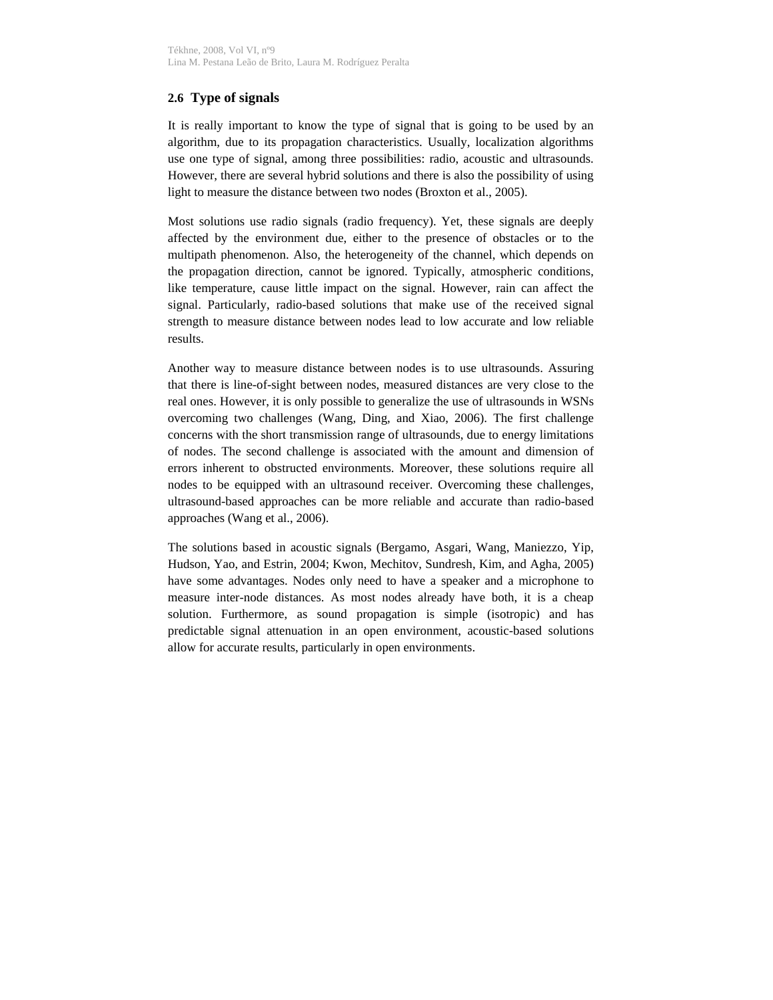### **2.6 Type of signals**

It is really important to know the type of signal that is going to be used by an algorithm, due to its propagation characteristics. Usually, localization algorithms use one type of signal, among three possibilities: radio, acoustic and ultrasounds. However, there are several hybrid solutions and there is also the possibility of using light to measure the distance between two nodes (Broxton et al., 2005).

Most solutions use radio signals (radio frequency). Yet, these signals are deeply affected by the environment due, either to the presence of obstacles or to the multipath phenomenon. Also, the heterogeneity of the channel, which depends on the propagation direction, cannot be ignored. Typically, atmospheric conditions, like temperature, cause little impact on the signal. However, rain can affect the signal. Particularly, radio-based solutions that make use of the received signal strength to measure distance between nodes lead to low accurate and low reliable results.

Another way to measure distance between nodes is to use ultrasounds. Assuring that there is line-of-sight between nodes, measured distances are very close to the real ones. However, it is only possible to generalize the use of ultrasounds in WSNs overcoming two challenges (Wang, Ding, and Xiao, 2006). The first challenge concerns with the short transmission range of ultrasounds, due to energy limitations of nodes. The second challenge is associated with the amount and dimension of errors inherent to obstructed environments. Moreover, these solutions require all nodes to be equipped with an ultrasound receiver. Overcoming these challenges, ultrasound-based approaches can be more reliable and accurate than radio-based approaches (Wang et al., 2006).

The solutions based in acoustic signals (Bergamo, Asgari, Wang, Maniezzo, Yip, Hudson, Yao, and Estrin, 2004; Kwon, Mechitov, Sundresh, Kim, and Agha, 2005) have some advantages. Nodes only need to have a speaker and a microphone to measure inter-node distances. As most nodes already have both, it is a cheap solution. Furthermore, as sound propagation is simple (isotropic) and has predictable signal attenuation in an open environment, acoustic-based solutions allow for accurate results, particularly in open environments.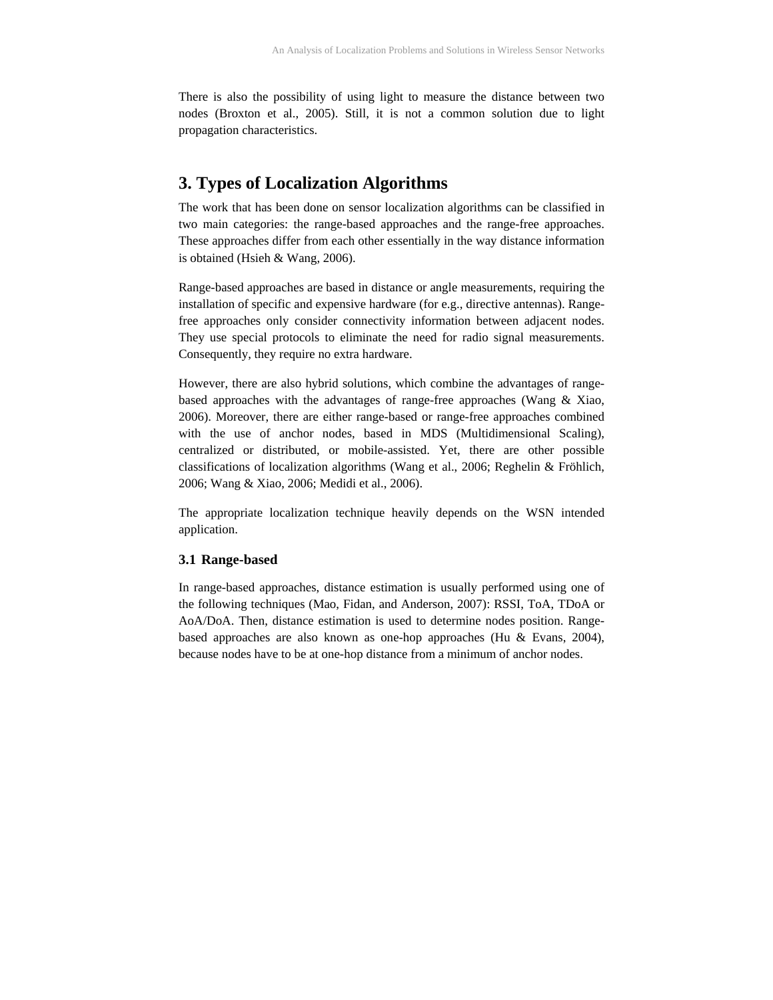There is also the possibility of using light to measure the distance between two nodes (Broxton et al., 2005). Still, it is not a common solution due to light propagation characteristics.

## **3. Types of Localization Algorithms**

The work that has been done on sensor localization algorithms can be classified in two main categories: the range-based approaches and the range-free approaches. These approaches differ from each other essentially in the way distance information is obtained (Hsieh & Wang, 2006).

Range-based approaches are based in distance or angle measurements, requiring the installation of specific and expensive hardware (for e.g., directive antennas). Rangefree approaches only consider connectivity information between adjacent nodes. They use special protocols to eliminate the need for radio signal measurements. Consequently, they require no extra hardware.

However, there are also hybrid solutions, which combine the advantages of rangebased approaches with the advantages of range-free approaches (Wang & Xiao, 2006). Moreover, there are either range-based or range-free approaches combined with the use of anchor nodes, based in MDS (Multidimensional Scaling), centralized or distributed, or mobile-assisted. Yet, there are other possible classifications of localization algorithms (Wang et al., 2006; Reghelin & Fröhlich, 2006; Wang & Xiao, 2006; Medidi et al., 2006).

The appropriate localization technique heavily depends on the WSN intended application.

#### **3.1 Range-based**

In range-based approaches, distance estimation is usually performed using one of the following techniques (Mao, Fidan, and Anderson, 2007): RSSI, ToA, TDoA or AoA/DoA. Then, distance estimation is used to determine nodes position. Rangebased approaches are also known as one-hop approaches (Hu & Evans, 2004), because nodes have to be at one-hop distance from a minimum of anchor nodes.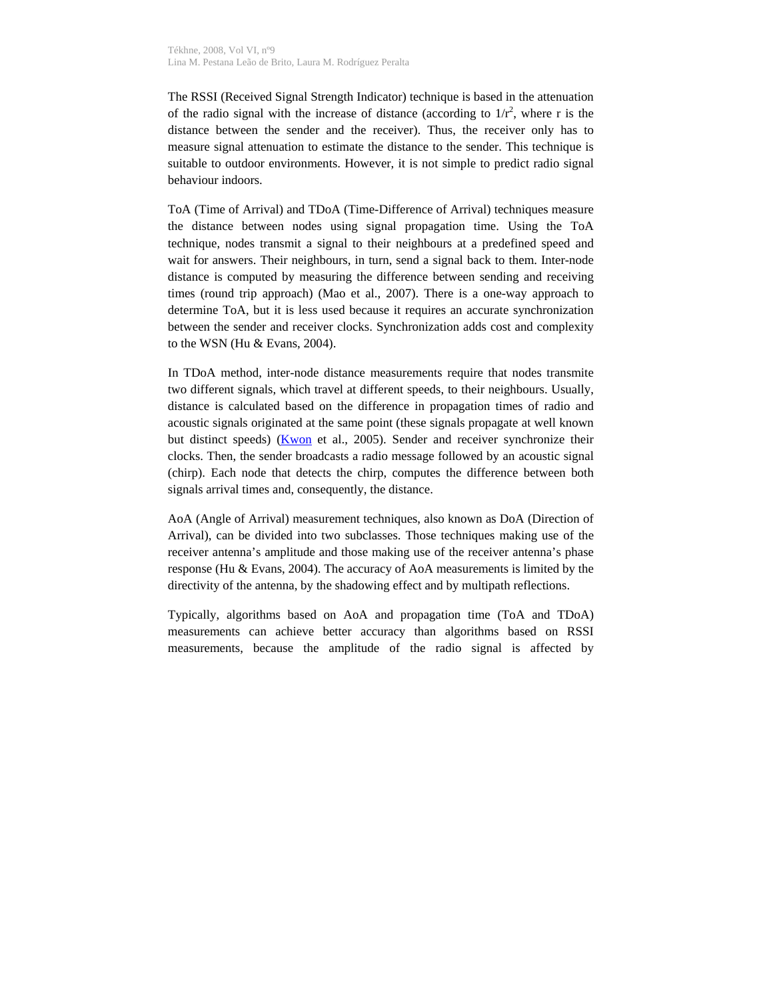The RSSI (Received Signal Strength Indicator) technique is based in the attenuation of the radio signal with the increase of distance (according to  $1/r^2$ , where r is the distance between the sender and the receiver). Thus, the receiver only has to measure signal attenuation to estimate the distance to the sender. This technique is suitable to outdoor environments. However, it is not simple to predict radio signal behaviour indoors.

ToA (Time of Arrival) and TDoA (Time-Difference of Arrival) techniques measure the distance between nodes using signal propagation time. Using the ToA technique, nodes transmit a signal to their neighbours at a predefined speed and wait for answers. Their neighbours, in turn, send a signal back to them. Inter-node distance is computed by measuring the difference between sending and receiving times (round trip approach) (Mao et al., 2007). There is a one-way approach to determine ToA, but it is less used because it requires an accurate synchronization between the sender and receiver clocks. Synchronization adds cost and complexity to the WSN (Hu & Evans, 2004).

In TDoA method, inter-node distance measurements require that nodes transmite two different signals, which travel at different speeds, to their neighbours. Usually, distance is calculated based on the difference in propagation times of radio and acoustic signals originated at the same point (these signals propagate at well known but distinct speeds) (Kwon et al., 2005). Sender and receiver synchronize their clocks. Then, the sender broadcasts a radio message followed by an acoustic signal (chirp). Each node that detects the chirp, computes the difference between both signals arrival times and, consequently, the distance.

AoA (Angle of Arrival) measurement techniques, also known as DoA (Direction of Arrival), can be divided into two subclasses. Those techniques making use of the receiver antenna's amplitude and those making use of the receiver antenna's phase response (Hu & Evans, 2004). The accuracy of AoA measurements is limited by the directivity of the antenna, by the shadowing effect and by multipath reflections.

Typically, algorithms based on AoA and propagation time (ToA and TDoA) measurements can achieve better accuracy than algorithms based on RSSI measurements, because the amplitude of the radio signal is affected by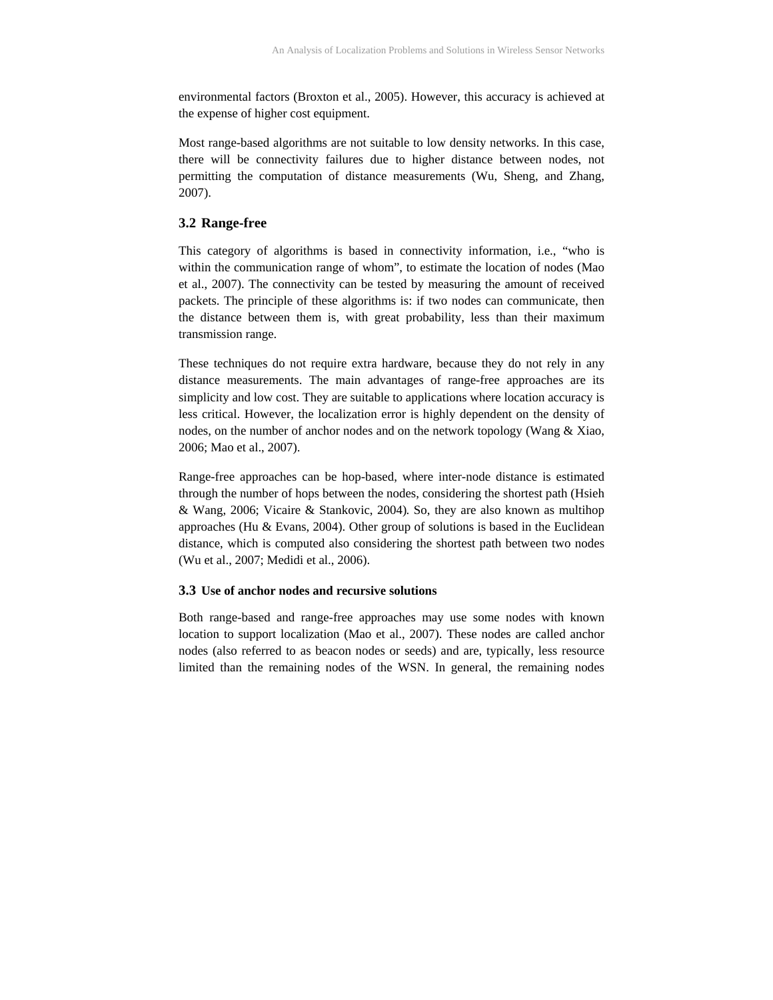environmental factors (Broxton et al., 2005). However, this accuracy is achieved at the expense of higher cost equipment.

Most range-based algorithms are not suitable to low density networks. In this case, there will be connectivity failures due to higher distance between nodes, not permitting the computation of distance measurements (Wu, Sheng, and Zhang, 2007).

#### **3.2 Range-free**

This category of algorithms is based in connectivity information, i.e., "who is within the communication range of whom", to estimate the location of nodes (Mao et al., 2007). The connectivity can be tested by measuring the amount of received packets. The principle of these algorithms is: if two nodes can communicate, then the distance between them is, with great probability, less than their maximum transmission range.

These techniques do not require extra hardware, because they do not rely in any distance measurements. The main advantages of range-free approaches are its simplicity and low cost. They are suitable to applications where location accuracy is less critical. However, the localization error is highly dependent on the density of nodes, on the number of anchor nodes and on the network topology (Wang & Xiao, 2006; Mao et al., 2007).

Range-free approaches can be hop-based, where inter-node distance is estimated through the number of hops between the nodes, considering the shortest path (Hsieh & Wang, 2006; Vicaire & Stankovic, 2004). So, they are also known as multihop approaches (Hu & Evans, 2004). Other group of solutions is based in the Euclidean distance, which is computed also considering the shortest path between two nodes (Wu et al., 2007; Medidi et al., 2006).

#### **3.3 Use of anchor nodes and recursive solutions**

Both range-based and range-free approaches may use some nodes with known location to support localization (Mao et al., 2007). These nodes are called anchor nodes (also referred to as beacon nodes or seeds) and are, typically, less resource limited than the remaining nodes of the WSN. In general, the remaining nodes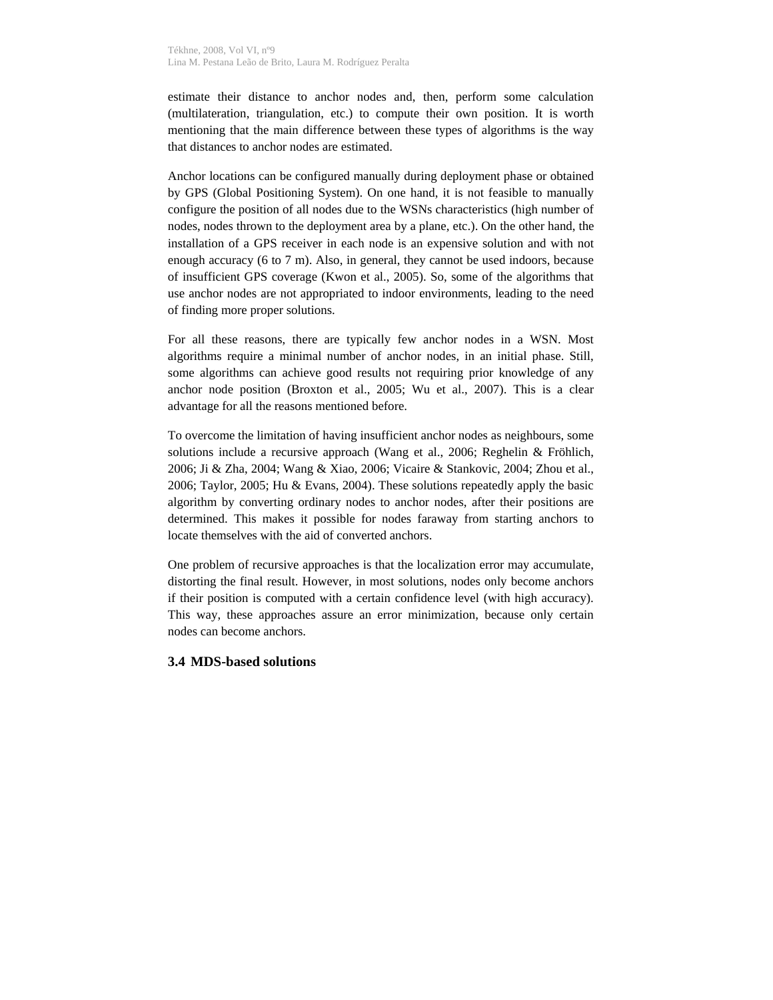estimate their distance to anchor nodes and, then, perform some calculation (multilateration, triangulation, etc.) to compute their own position. It is worth mentioning that the main difference between these types of algorithms is the way that distances to anchor nodes are estimated.

Anchor locations can be configured manually during deployment phase or obtained by GPS (Global Positioning System). On one hand, it is not feasible to manually configure the position of all nodes due to the WSNs characteristics (high number of nodes, nodes thrown to the deployment area by a plane, etc.). On the other hand, the installation of a GPS receiver in each node is an expensive solution and with not enough accuracy (6 to 7 m). Also, in general, they cannot be used indoors, because of insufficient GPS coverage (Kwon et al., 2005). So, some of the algorithms that use anchor nodes are not appropriated to indoor environments, leading to the need of finding more proper solutions.

For all these reasons, there are typically few anchor nodes in a WSN. Most algorithms require a minimal number of anchor nodes, in an initial phase. Still, some algorithms can achieve good results not requiring prior knowledge of any anchor node position (Broxton et al., 2005; Wu et al., 2007). This is a clear advantage for all the reasons mentioned before.

To overcome the limitation of having insufficient anchor nodes as neighbours, some solutions include a recursive approach (Wang et al., 2006; Reghelin & Fröhlich, 2006; Ji & Zha, 2004; Wang & Xiao, 2006; Vicaire & Stankovic, 2004; Zhou et al., 2006; Taylor, 2005; Hu & Evans, 2004). These solutions repeatedly apply the basic algorithm by converting ordinary nodes to anchor nodes, after their positions are determined. This makes it possible for nodes faraway from starting anchors to locate themselves with the aid of converted anchors.

One problem of recursive approaches is that the localization error may accumulate, distorting the final result. However, in most solutions, nodes only become anchors if their position is computed with a certain confidence level (with high accuracy). This way, these approaches assure an error minimization, because only certain nodes can become anchors.

#### **3.4 MDS-based solutions**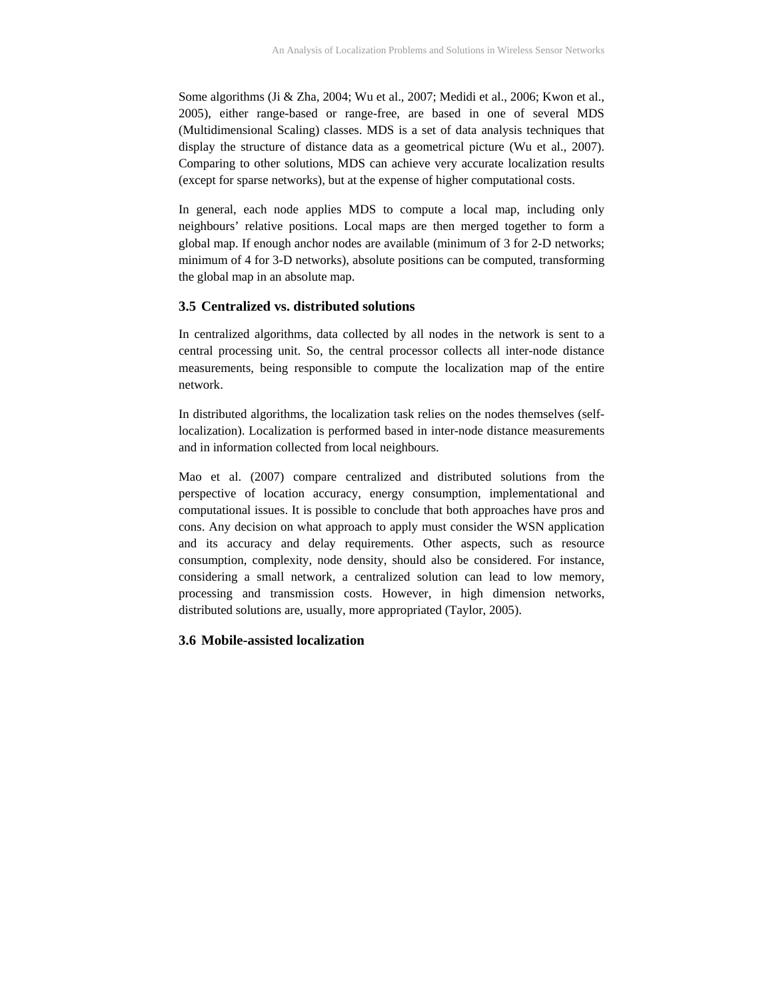Some algorithms (Ji & Zha, 2004; Wu et al., 2007; Medidi et al., 2006; Kwon et al., 2005), either range-based or range-free, are based in one of several MDS (Multidimensional Scaling) classes. MDS is a set of data analysis techniques that display the structure of distance data as a geometrical picture (Wu et al., 2007). Comparing to other solutions, MDS can achieve very accurate localization results (except for sparse networks), but at the expense of higher computational costs.

In general, each node applies MDS to compute a local map, including only neighbours' relative positions. Local maps are then merged together to form a global map. If enough anchor nodes are available (minimum of 3 for 2-D networks; minimum of 4 for 3-D networks), absolute positions can be computed, transforming the global map in an absolute map.

#### **3.5 Centralized vs. distributed solutions**

In centralized algorithms, data collected by all nodes in the network is sent to a central processing unit. So, the central processor collects all inter-node distance measurements, being responsible to compute the localization map of the entire network.

In distributed algorithms, the localization task relies on the nodes themselves (selflocalization). Localization is performed based in inter-node distance measurements and in information collected from local neighbours.

Mao et al. (2007) compare centralized and distributed solutions from the perspective of location accuracy, energy consumption, implementational and computational issues. It is possible to conclude that both approaches have pros and cons. Any decision on what approach to apply must consider the WSN application and its accuracy and delay requirements. Other aspects, such as resource consumption, complexity, node density, should also be considered. For instance, considering a small network, a centralized solution can lead to low memory, processing and transmission costs. However, in high dimension networks, distributed solutions are, usually, more appropriated (Taylor, 2005).

#### **3.6 Mobile-assisted localization**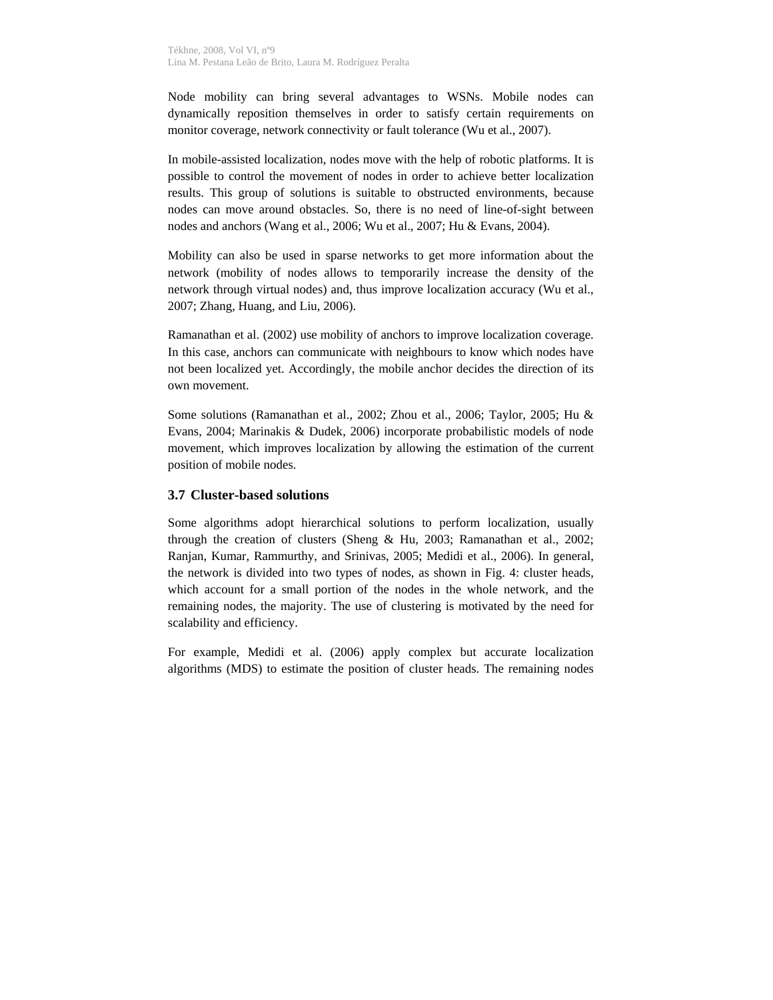Node mobility can bring several advantages to WSNs. Mobile nodes can dynamically reposition themselves in order to satisfy certain requirements on monitor coverage, network connectivity or fault tolerance (Wu et al., 2007).

In mobile-assisted localization, nodes move with the help of robotic platforms. It is possible to control the movement of nodes in order to achieve better localization results. This group of solutions is suitable to obstructed environments, because nodes can move around obstacles. So, there is no need of line-of-sight between nodes and anchors (Wang et al., 2006; Wu et al., 2007; Hu & Evans, 2004).

Mobility can also be used in sparse networks to get more information about the network (mobility of nodes allows to temporarily increase the density of the network through virtual nodes) and, thus improve localization accuracy (Wu et al., 2007; Zhang, Huang, and Liu, 2006).

Ramanathan et al. (2002) use mobility of anchors to improve localization coverage. In this case, anchors can communicate with neighbours to know which nodes have not been localized yet. Accordingly, the mobile anchor decides the direction of its own movement.

Some solutions (Ramanathan et al., 2002; Zhou et al., 2006; Taylor, 2005; Hu & Evans, 2004; Marinakis & Dudek, 2006) incorporate probabilistic models of node movement, which improves localization by allowing the estimation of the current position of mobile nodes.

#### **3.7 Cluster-based solutions**

Some algorithms adopt hierarchical solutions to perform localization, usually through the creation of clusters (Sheng & Hu, 2003; Ramanathan et al., 2002; Ranjan, Kumar, Rammurthy, and Srinivas, 2005; Medidi et al., 2006). In general, the network is divided into two types of nodes, as shown in Fig. 4: cluster heads, which account for a small portion of the nodes in the whole network, and the remaining nodes, the majority. The use of clustering is motivated by the need for scalability and efficiency.

For example, Medidi et al. (2006) apply complex but accurate localization algorithms (MDS) to estimate the position of cluster heads. The remaining nodes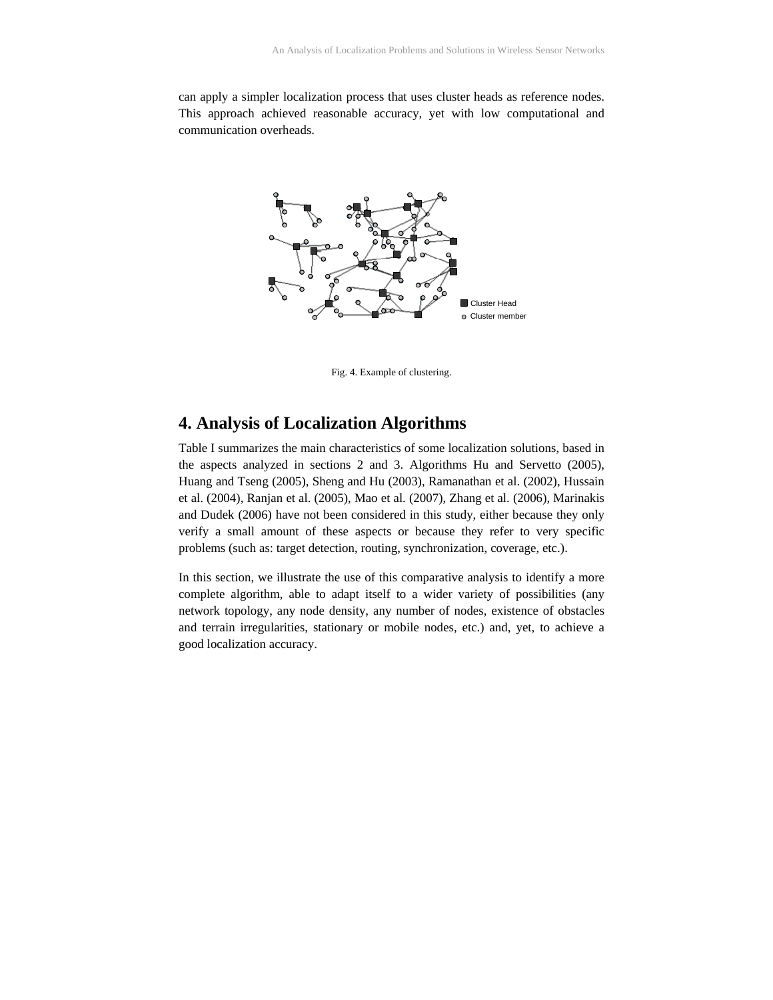can apply a simpler localization process that uses cluster heads as reference nodes. This approach achieved reasonable accuracy, yet with low computational and communication overheads.



Fig. 4. Example of clustering.

## **4. Analysis of Localization Algorithms**

Table I summarizes the main characteristics of some localization solutions, based in the aspects analyzed in sections 2 and 3. Algorithms Hu and Servetto (2005), Huang and Tseng (2005), Sheng and Hu (2003), Ramanathan et al. (2002), Hussain et al. (2004), Ranjan et al. (2005), Mao et al. (2007), Zhang et al. (2006), Marinakis and Dudek (2006) have not been considered in this study, either because they only verify a small amount of these aspects or because they refer to very specific problems (such as: target detection, routing, synchronization, coverage, etc.).

In this section, we illustrate the use of this comparative analysis to identify a more complete algorithm, able to adapt itself to a wider variety of possibilities (any network topology, any node density, any number of nodes, existence of obstacles and terrain irregularities, stationary or mobile nodes, etc.) and, yet, to achieve a good localization accuracy.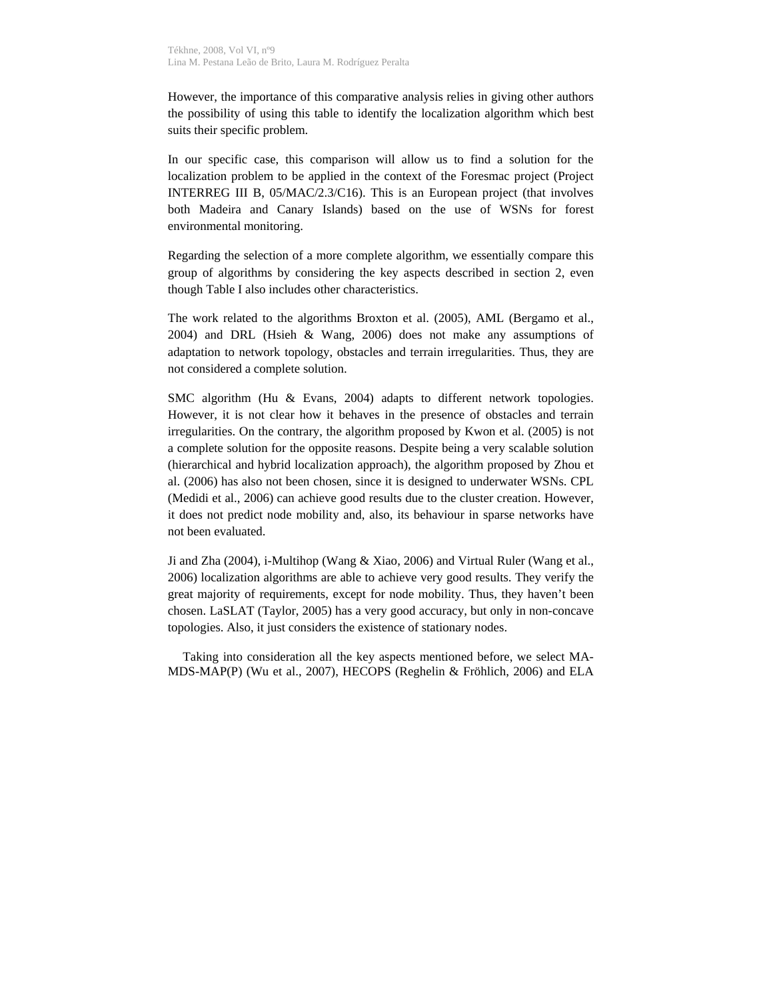However, the importance of this comparative analysis relies in giving other authors the possibility of using this table to identify the localization algorithm which best suits their specific problem.

In our specific case, this comparison will allow us to find a solution for the localization problem to be applied in the context of the Foresmac project (Project INTERREG III B, 05/MAC/2.3/C16). This is an European project (that involves both Madeira and Canary Islands) based on the use of WSNs for forest environmental monitoring.

Regarding the selection of a more complete algorithm, we essentially compare this group of algorithms by considering the key aspects described in section 2, even though Table I also includes other characteristics.

The work related to the algorithms Broxton et al. (2005), AML (Bergamo et al., 2004) and DRL (Hsieh & Wang, 2006) does not make any assumptions of adaptation to network topology, obstacles and terrain irregularities. Thus, they are not considered a complete solution.

SMC algorithm (Hu & Evans, 2004) adapts to different network topologies. However, it is not clear how it behaves in the presence of obstacles and terrain irregularities. On the contrary, the algorithm proposed by Kwon et al. (2005) is not a complete solution for the opposite reasons. Despite being a very scalable solution (hierarchical and hybrid localization approach), the algorithm proposed by Zhou et al. (2006) has also not been chosen, since it is designed to underwater WSNs. CPL (Medidi et al., 2006) can achieve good results due to the cluster creation. However, it does not predict node mobility and, also, its behaviour in sparse networks have not been evaluated.

Ji and Zha (2004), i-Multihop (Wang & Xiao, 2006) and Virtual Ruler (Wang et al., 2006) localization algorithms are able to achieve very good results. They verify the great majority of requirements, except for node mobility. Thus, they haven't been chosen. LaSLAT (Taylor, 2005) has a very good accuracy, but only in non-concave topologies. Also, it just considers the existence of stationary nodes.

Taking into consideration all the key aspects mentioned before, we select MA-MDS-MAP(P) (Wu et al., 2007), HECOPS (Reghelin & Fröhlich, 2006) and ELA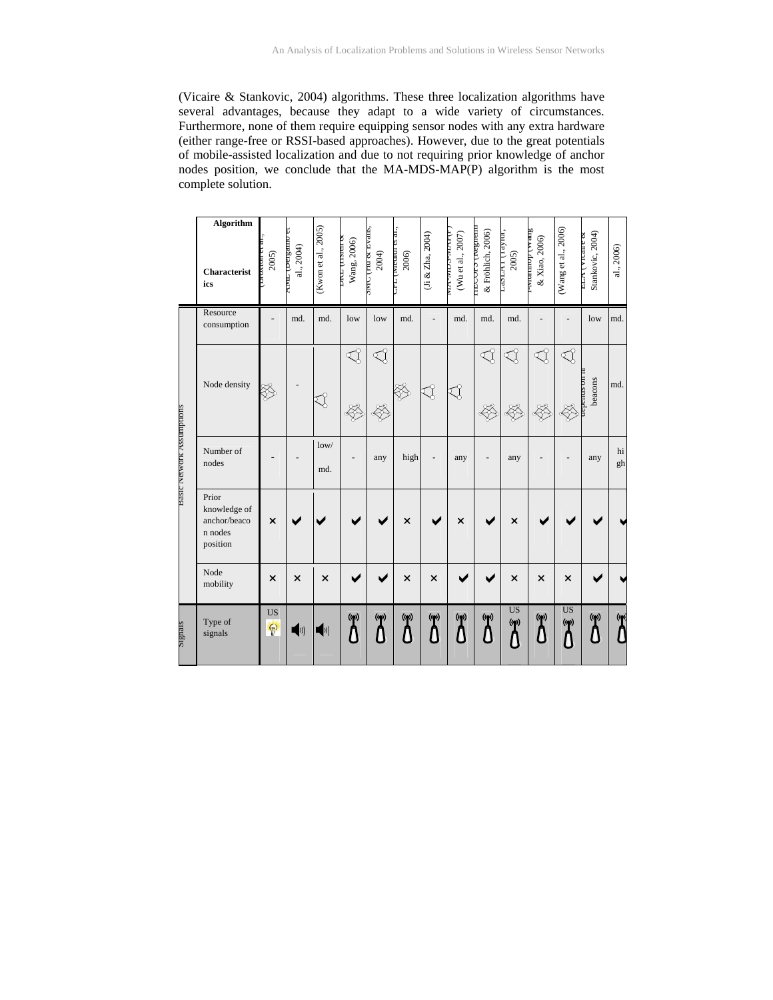(Vicaire & Stankovic, 2004) algorithms. These three localization algorithms have several advantages, because they adapt to a wide variety of circumstances. Furthermore, none of them require equipping sensor nodes with any extra hardware (either range-free or RSSI-based approaches). However, due to the great potentials of mobile-assisted localization and due to not requiring prior knowledge of anchor nodes position, we conclude that the MA-MDS-MAP(P) algorithm is the most complete solution.

|                           | Algorithm<br>Characterist<br>ics                             | די סאנטוניס<br>2005) | a orrested max.<br>al., 2004) | (Kwon et al., 2005) | <b>DIVE (TISKEL OF</b><br>Wang, 2006) | SMC (TH & Evans,<br>2004) | LE L'internet et ar.,<br>2006) | (Ji & Zha, 2004)    | TLININ-COM-VIA<br>(Wu et al., 2007) | ппоста (кездеш<br>& Fröhlich, 2006) | MATTER TO<br>$2005$   | Sup 11 downmars-<br>& Xiao, 2006) | (Wang et al., 2006)              | Stankovic, 2004)<br>ELA (VICale & | al., 2006) |
|---------------------------|--------------------------------------------------------------|----------------------|-------------------------------|---------------------|---------------------------------------|---------------------------|--------------------------------|---------------------|-------------------------------------|-------------------------------------|-----------------------|-----------------------------------|----------------------------------|-----------------------------------|------------|
|                           | Resource<br>consumption                                      |                      | md.                           | md.                 | low                                   | low                       | md.                            |                     | md.                                 | md.                                 | md.                   |                                   |                                  | low                               | md.        |
|                           | Node density                                                 | SA                   |                               |                     | S<br>E                                | √<br>E                    |                                | $\lesssim$          | ₹{                                  | $\mathbb{Q}$<br>E                   | ₹{<br>\$\$            | $\mathbb{Q}$<br>E                 | ◁                                | L IIO SDIIaOa<br>beacons          | md.        |
| Basic Network Assumptions | Number of<br>nodes                                           |                      |                               | low/<br>md.         |                                       | any                       | high                           |                     | any                                 |                                     | any                   |                                   |                                  | any                               | hi<br>gh   |
|                           | Prior<br>knowledge of<br>anchor/beaco<br>n nodes<br>position | $\times$             |                               |                     |                                       |                           | $\times$                       |                     | $\times$                            |                                     | $\times$              |                                   |                                  |                                   |            |
|                           | Node<br>mobility                                             | $\times$             | $\times$                      | $\times$            |                                       |                           | $\times$                       | $\times$            |                                     |                                     | $\times$              | $\times$                          | $\times$                         |                                   |            |
| signals                   | Type of<br>signals                                           | <b>US</b><br>$\odot$ | ◀ッ)                           | <b>))</b>           | $($ ( $q$ ))                          | (9)<br>Δ                  | $\left(\mathbf{p}\right)$<br>Δ | $(\mathbf{p})$<br>₿ | $($ ( $\bullet$ )<br>D              | $($ (p)                             | <b>US</b><br>$(\phi)$ | $($ ( $\bullet$ )                 | <b>US</b><br>$(\mathbf{p})$<br>Λ | $($ (O))                          | ന          |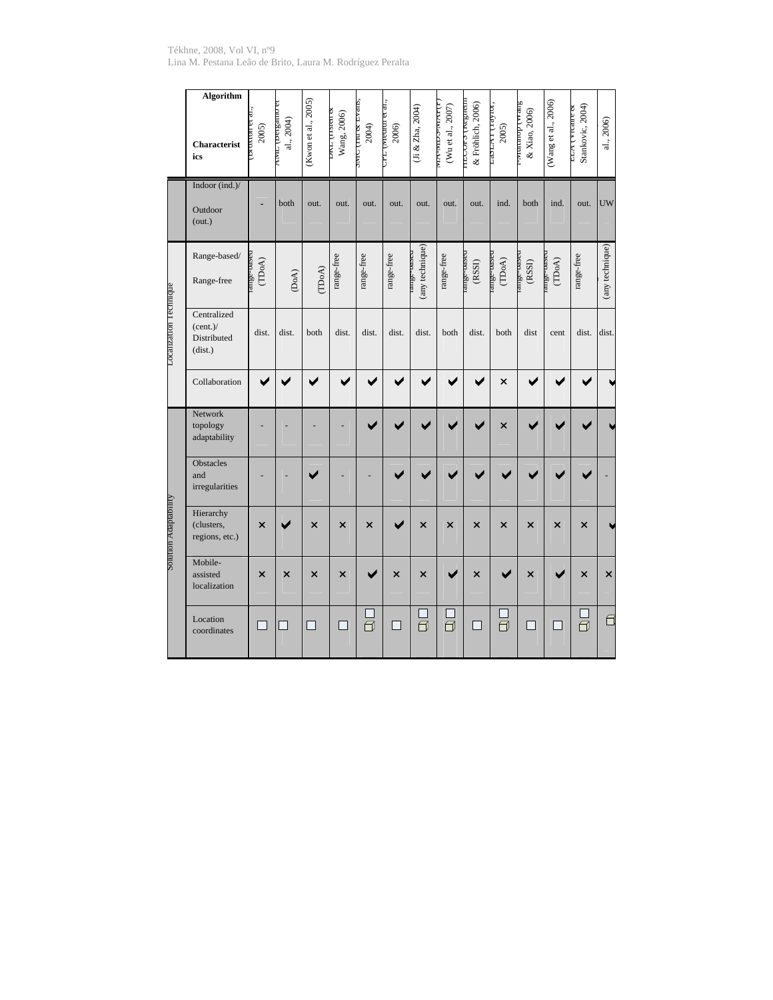Tékhne, 2008, Vol VI, nº9 Lina M. Pestana Leão de Brito, Laura M. Rodríguez Peralta

|                          | <b>Algorithm</b><br>Characterist<br>ics           | 2005)    | amp fact Part<br>al., 2004) | (Kwon et al., 2005)         | <b>DIET (TISIEII OC</b><br>Wang, 2006) | super the control City<br>2004) | CTT (INEGRET ET al.,<br>2006) | (Ji & Zha, 2004)             | <b>TA REPORTANCE</b><br>(Wu et al., 2007) | проста (кезиеш<br>& Fröhlich, 2006) | IOLAR LITTLE<br>2005)                             | Suraa dommara-<br>& Xiao, 2006) | (Wang et al., 2006)       | Stankovic, 2004)<br>ELA VIGHE & | al., 2006)      |
|--------------------------|---------------------------------------------------|----------|-----------------------------|-----------------------------|----------------------------------------|---------------------------------|-------------------------------|------------------------------|-------------------------------------------|-------------------------------------|---------------------------------------------------|---------------------------------|---------------------------|---------------------------------|-----------------|
|                          | Indoor (ind.)/<br>Outdoor<br>(out.)               |          | both                        | out.                        | out.                                   | out.                            | out.                          | out.                         | out.                                      | out.                                | ind.                                              | both                            | ind.                      | out.                            | <b>UW</b>       |
| Localization recnique    | Range-based/<br>Range-free                        | (TDoA)   | (DoA)                       | (TDoA)                      | range-free                             | range-free                      | range-free                    | (any technique)<br>nave-oszm | range-free                                | range-paseu<br>${\rm (RSSI)}$       | ange-based<br>$(\mathbb{TD}\mathrm{o}\mathsf{A})$ | range-based<br>$(RSSI)$         | ange-base<br>(TDoA)       | range-free                      | (any technique) |
|                          | Centralized<br>(cent.)/<br>Distributed<br>(dist.) | dist.    | dist.                       | both                        | dist.                                  | dist.                           | dist.                         | dist.                        | both                                      | dist.                               | both                                              | dist                            | cent                      | dist.                           | dist.           |
|                          | Collaboration                                     | ✔        | ✔                           |                             |                                        |                                 |                               |                              |                                           |                                     | ×                                                 |                                 |                           |                                 |                 |
|                          | Network<br>topology<br>adaptability               |          |                             |                             |                                        |                                 |                               |                              |                                           |                                     | $\overline{\mathsf{x}}$                           |                                 |                           |                                 |                 |
|                          | <b>Obstacles</b><br>and<br>irregularities         |          |                             |                             |                                        |                                 |                               |                              |                                           |                                     |                                                   |                                 |                           |                                 |                 |
| <b>Aunomateur uomnos</b> | Hierarchy<br>(clusters,<br>regions, etc.)         | $\times$ |                             | $\boldsymbol{\mathsf{x}}$   | ×                                      | ×                               | ✔                             | ×                            | $\times$                                  | $\times$                            | $\times$                                          | ×                               | $\boldsymbol{\mathsf{x}}$ | $\times$                        |                 |
|                          | Mobile-<br>assisted<br>localization               | $\times$ | $\times$                    | ×                           | $\times$                               |                                 | $\times$                      | $\overline{\mathsf{x}}$      |                                           | $\times$                            | ✔                                                 | $\times$                        |                           | $\times$                        | $\times$        |
|                          | Location<br>coordinates                           | ┓        | ┐                           | $\mathcal{L}_{\mathcal{A}}$ | □                                      | ā                               | ┐                             | $\bar{\exists}$              | $\overline{\overline{\Pi}}$               | $\Box$                              | $\overline{\Box}$                                 | ┓                               | П                         | ā                               | б               |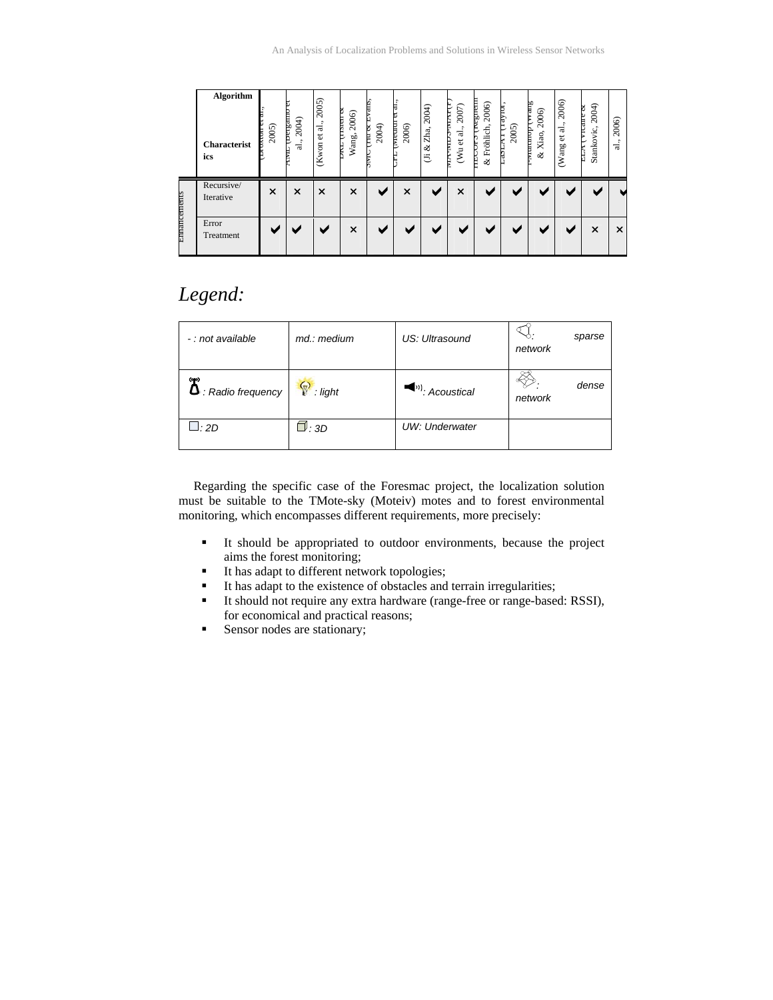|              | Algorithm<br><b>Characterist</b><br>ics | 2005)<br>E | யாஜ்மா<br>2004)<br>ನ | 2005)<br>ಸ<br>$\ddot{\circ}$<br>(Kwon | Þ<br>2006)<br><b>TELESTER</b><br>Wang,<br>E | vans<br>2004)<br>e<br>E | <b>Livicorum</b><br>2006) | 2004)<br>Zha,<br>ಷ<br>這 | 2007)<br><b>TAIN-COIN-AIN</b><br>et al.,<br>$\overline{\xi}$ | marfax<br>2006)<br>Fröhlich<br>₿<br>ళ | ay tor<br>2005)<br>Þ<br>ā | Arrang<br>2006)<br>dommara<br>& Xiao, | 2006)<br>ಡ<br>ب<br>ه<br>Wang | 2004)<br>у теане ос<br>Stankovic,<br>FLIT | 2006)<br>$\bullet$<br>٠<br>ನ |
|--------------|-----------------------------------------|------------|----------------------|---------------------------------------|---------------------------------------------|-------------------------|---------------------------|-------------------------|--------------------------------------------------------------|---------------------------------------|---------------------------|---------------------------------------|------------------------------|-------------------------------------------|------------------------------|
|              | Recursive/<br>Iterative                 | ×          | $\times$             | $\times$                              | $\times$                                    |                         | ×                         |                         | $\times$                                                     |                                       |                           |                                       |                              |                                           |                              |
| Ennancements | Error<br>Treatment                      |            |                      |                                       | ×                                           |                         |                           |                         |                                                              |                                       |                           |                                       |                              | $\times$                                  | $\times$                     |

# *Legend:*

| - : not available                         | md.: medium    | US: Ultrasound                       | sparse<br>network |
|-------------------------------------------|----------------|--------------------------------------|-------------------|
| ශං<br>$\mathbf{\Omega}$ : Radio frequency | P<br>$:$ light | $\langle \cdot \rangle$ : Acoustical | dense<br>network  |
| __ : 2D                                   | $\Box$ : 3D    | UW: Underwater                       |                   |

Regarding the specific case of the Foresmac project, the localization solution must be suitable to the TMote-sky (Moteiv) motes and to forest environmental monitoring, which encompasses different requirements, more precisely:

- It should be appropriated to outdoor environments, because the project aims the forest monitoring;
- It has adapt to different network topologies;
- It has adapt to the existence of obstacles and terrain irregularities;
- It should not require any extra hardware (range-free or range-based: RSSI), for economical and practical reasons;
- Sensor nodes are stationary;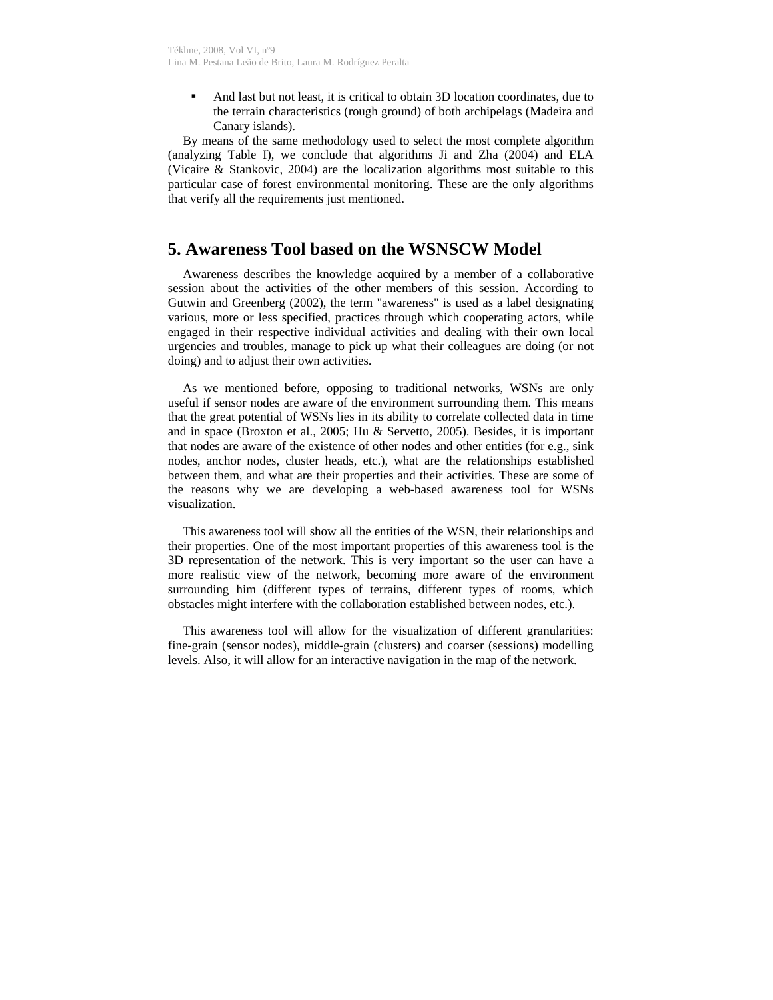And last but not least, it is critical to obtain 3D location coordinates, due to the terrain characteristics (rough ground) of both archipelags (Madeira and Canary islands).

By means of the same methodology used to select the most complete algorithm (analyzing Table I), we conclude that algorithms Ji and Zha (2004) and ELA (Vicaire & Stankovic, 2004) are the localization algorithms most suitable to this particular case of forest environmental monitoring. These are the only algorithms that verify all the requirements just mentioned.

## **5. Awareness Tool based on the WSNSCW Model**

Awareness describes the knowledge acquired by a member of a collaborative session about the activities of the other members of this session. According to Gutwin and Greenberg (2002), the term "awareness" is used as a label designating various, more or less specified, practices through which cooperating actors, while engaged in their respective individual activities and dealing with their own local urgencies and troubles, manage to pick up what their colleagues are doing (or not doing) and to adjust their own activities.

As we mentioned before, opposing to traditional networks, WSNs are only useful if sensor nodes are aware of the environment surrounding them. This means that the great potential of WSNs lies in its ability to correlate collected data in time and in space (Broxton et al., 2005; Hu & Servetto, 2005). Besides, it is important that nodes are aware of the existence of other nodes and other entities (for e.g., sink nodes, anchor nodes, cluster heads, etc.), what are the relationships established between them, and what are their properties and their activities. These are some of the reasons why we are developing a web-based awareness tool for WSNs visualization.

This awareness tool will show all the entities of the WSN, their relationships and their properties. One of the most important properties of this awareness tool is the 3D representation of the network. This is very important so the user can have a more realistic view of the network, becoming more aware of the environment surrounding him (different types of terrains, different types of rooms, which obstacles might interfere with the collaboration established between nodes, etc.).

This awareness tool will allow for the visualization of different granularities: fine-grain (sensor nodes), middle-grain (clusters) and coarser (sessions) modelling levels. Also, it will allow for an interactive navigation in the map of the network.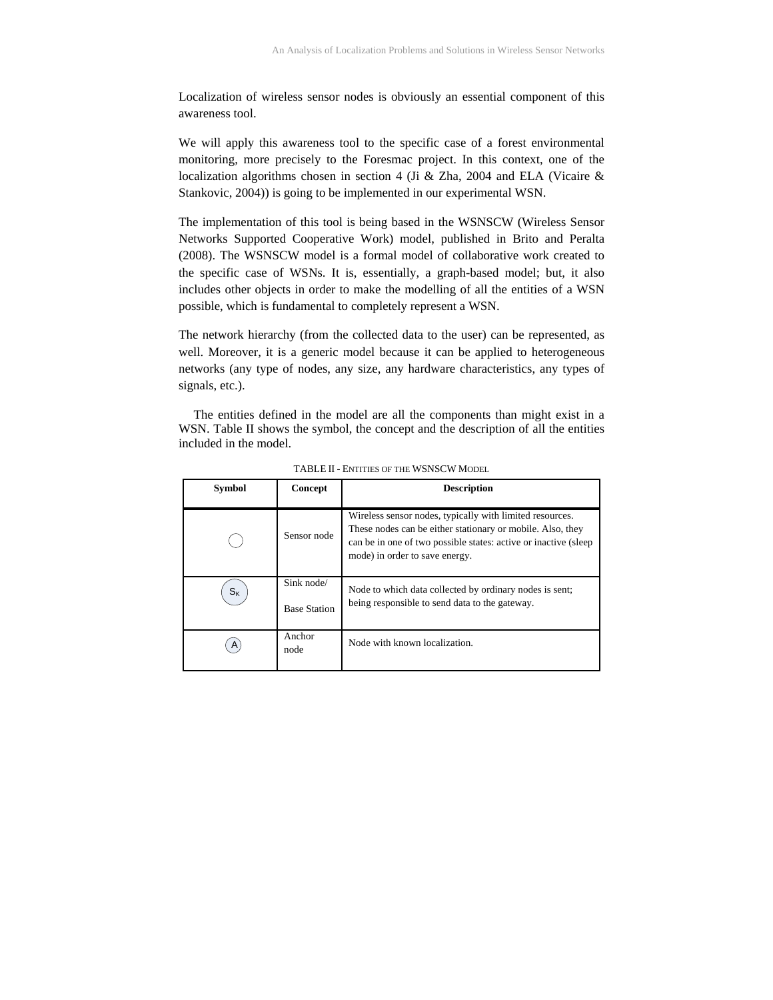Localization of wireless sensor nodes is obviously an essential component of this awareness tool.

We will apply this awareness tool to the specific case of a forest environmental monitoring, more precisely to the Foresmac project. In this context, one of the localization algorithms chosen in section 4 (Ji & Zha, 2004 and ELA (Vicaire & Stankovic, 2004)) is going to be implemented in our experimental WSN.

The implementation of this tool is being based in the WSNSCW (Wireless Sensor Networks Supported Cooperative Work) model, published in Brito and Peralta (2008). The WSNSCW model is a formal model of collaborative work created to the specific case of WSNs. It is, essentially, a graph-based model; but, it also includes other objects in order to make the modelling of all the entities of a WSN possible, which is fundamental to completely represent a WSN.

The network hierarchy (from the collected data to the user) can be represented, as well. Moreover, it is a generic model because it can be applied to heterogeneous networks (any type of nodes, any size, any hardware characteristics, any types of signals, etc.).

The entities defined in the model are all the components than might exist in a WSN. Table II shows the symbol, the concept and the description of all the entities included in the model.

| <b>Symbol</b> | Concept                           | <b>Description</b>                                                                                                                                                                                                           |
|---------------|-----------------------------------|------------------------------------------------------------------------------------------------------------------------------------------------------------------------------------------------------------------------------|
|               | Sensor node                       | Wireless sensor nodes, typically with limited resources.<br>These nodes can be either stationary or mobile. Also, they<br>can be in one of two possible states: active or inactive (sleep)<br>mode) in order to save energy. |
| $S_{K}$       | Sink node/<br><b>Base Station</b> | Node to which data collected by ordinary nodes is sent;<br>being responsible to send data to the gateway.                                                                                                                    |
|               | Anchor<br>node                    | Node with known localization.                                                                                                                                                                                                |

TABLE II - ENTITIES OF THE WSNSCW MODEL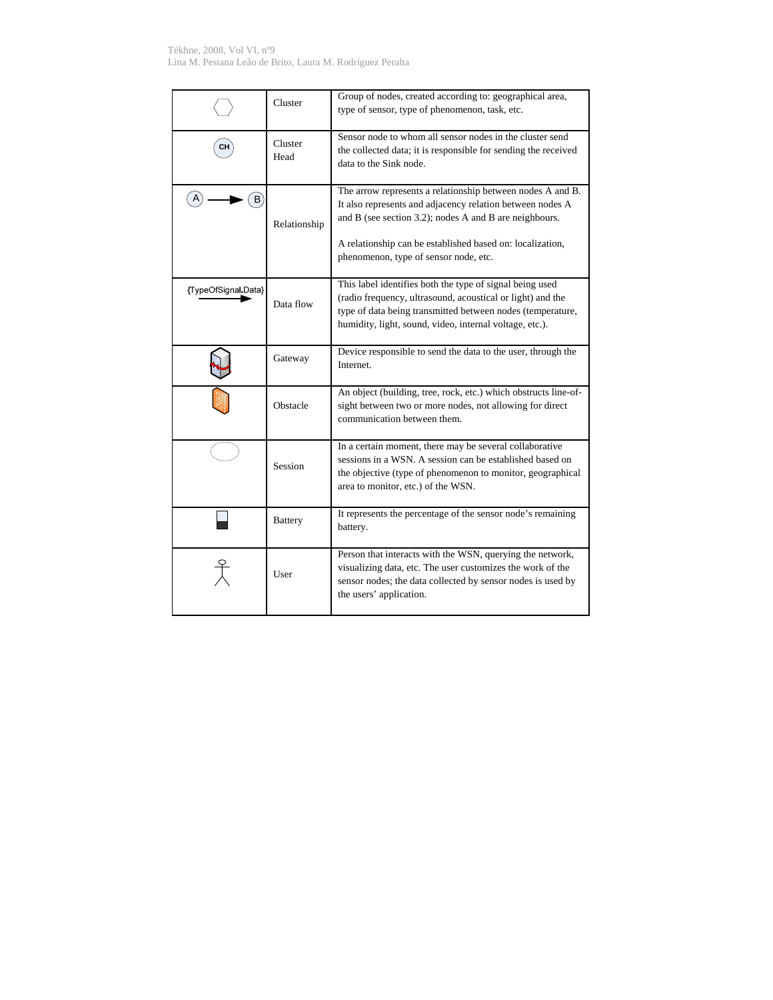Tékhne, 2008, Vol VI, nº9 Lina M. Pestana Leão de Brito, Laura M. Rodríguez Peralta

|                     | Cluster         | Group of nodes, created according to: geographical area,<br>type of sensor, type of phenomenon, task, etc.                                                                                                                                                                              |
|---------------------|-----------------|-----------------------------------------------------------------------------------------------------------------------------------------------------------------------------------------------------------------------------------------------------------------------------------------|
|                     | Cluster<br>Head | Sensor node to whom all sensor nodes in the cluster send<br>the collected data; it is responsible for sending the received<br>data to the Sink node.                                                                                                                                    |
|                     | Relationship    | The arrow represents a relationship between nodes A and B.<br>It also represents and adjacency relation between nodes A<br>and B (see section 3.2); nodes A and B are neighbours.<br>A relationship can be established based on: localization,<br>phenomenon, type of sensor node, etc. |
| {TypeOfSignal Data} | Data flow       | This label identifies both the type of signal being used<br>(radio frequency, ultrasound, acoustical or light) and the<br>type of data being transmitted between nodes (temperature,<br>humidity, light, sound, video, internal voltage, etc.).                                         |
|                     | Gateway         | Device responsible to send the data to the user, through the<br>Internet.                                                                                                                                                                                                               |
|                     | Obstacle        | An object (building, tree, rock, etc.) which obstructs line-of-<br>sight between two or more nodes, not allowing for direct<br>communication between them.                                                                                                                              |
|                     | Session         | In a certain moment, there may be several collaborative<br>sessions in a WSN. A session can be established based on<br>the objective (type of phenomenon to monitor, geographical<br>area to monitor, etc.) of the WSN.                                                                 |
|                     | <b>Battery</b>  | It represents the percentage of the sensor node's remaining<br>battery.                                                                                                                                                                                                                 |
|                     | User            | Person that interacts with the WSN, querying the network,<br>visualizing data, etc. The user customizes the work of the<br>sensor nodes; the data collected by sensor nodes is used by<br>the users' application.                                                                       |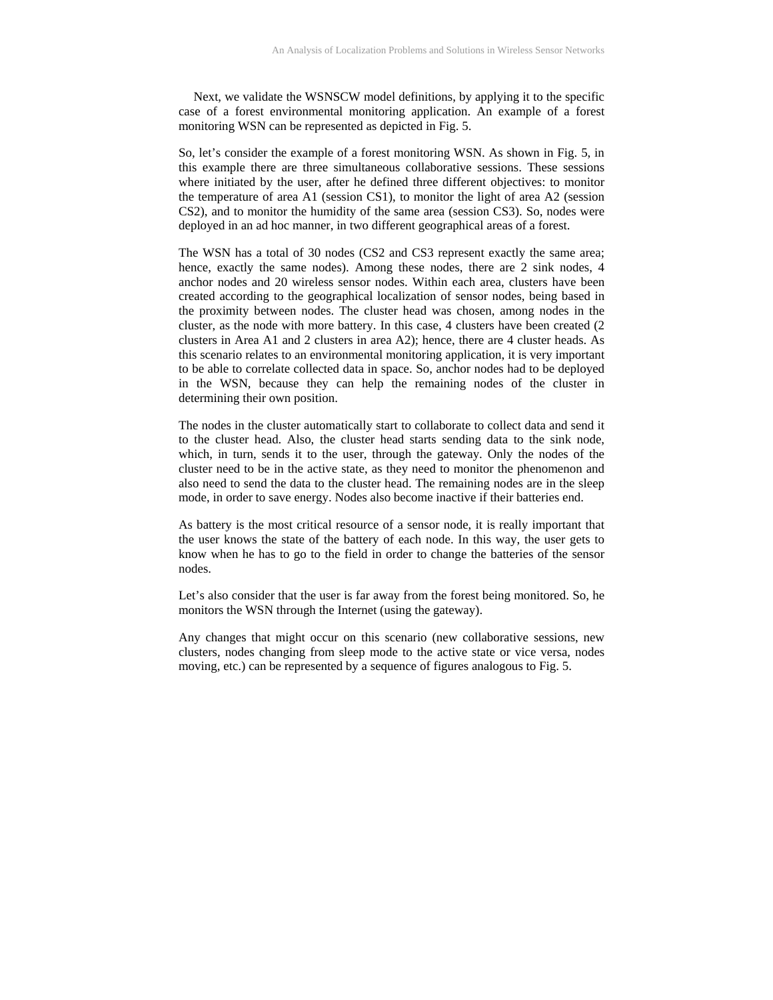Next, we validate the WSNSCW model definitions, by applying it to the specific case of a forest environmental monitoring application. An example of a forest monitoring WSN can be represented as depicted in Fig. 5.

So, let's consider the example of a forest monitoring WSN. As shown in Fig. 5, in this example there are three simultaneous collaborative sessions. These sessions where initiated by the user, after he defined three different objectives: to monitor the temperature of area A1 (session CS1), to monitor the light of area A2 (session CS2), and to monitor the humidity of the same area (session CS3). So, nodes were deployed in an ad hoc manner, in two different geographical areas of a forest.

The WSN has a total of 30 nodes (CS2 and CS3 represent exactly the same area; hence, exactly the same nodes). Among these nodes, there are 2 sink nodes, 4 anchor nodes and 20 wireless sensor nodes. Within each area, clusters have been created according to the geographical localization of sensor nodes, being based in the proximity between nodes. The cluster head was chosen, among nodes in the cluster, as the node with more battery. In this case, 4 clusters have been created (2 clusters in Area A1 and 2 clusters in area A2); hence, there are 4 cluster heads. As this scenario relates to an environmental monitoring application, it is very important to be able to correlate collected data in space. So, anchor nodes had to be deployed in the WSN, because they can help the remaining nodes of the cluster in determining their own position.

The nodes in the cluster automatically start to collaborate to collect data and send it to the cluster head. Also, the cluster head starts sending data to the sink node, which, in turn, sends it to the user, through the gateway. Only the nodes of the cluster need to be in the active state, as they need to monitor the phenomenon and also need to send the data to the cluster head. The remaining nodes are in the sleep mode, in order to save energy. Nodes also become inactive if their batteries end.

As battery is the most critical resource of a sensor node, it is really important that the user knows the state of the battery of each node. In this way, the user gets to know when he has to go to the field in order to change the batteries of the sensor nodes.

Let's also consider that the user is far away from the forest being monitored. So, he monitors the WSN through the Internet (using the gateway).

Any changes that might occur on this scenario (new collaborative sessions, new clusters, nodes changing from sleep mode to the active state or vice versa, nodes moving, etc.) can be represented by a sequence of figures analogous to Fig. 5.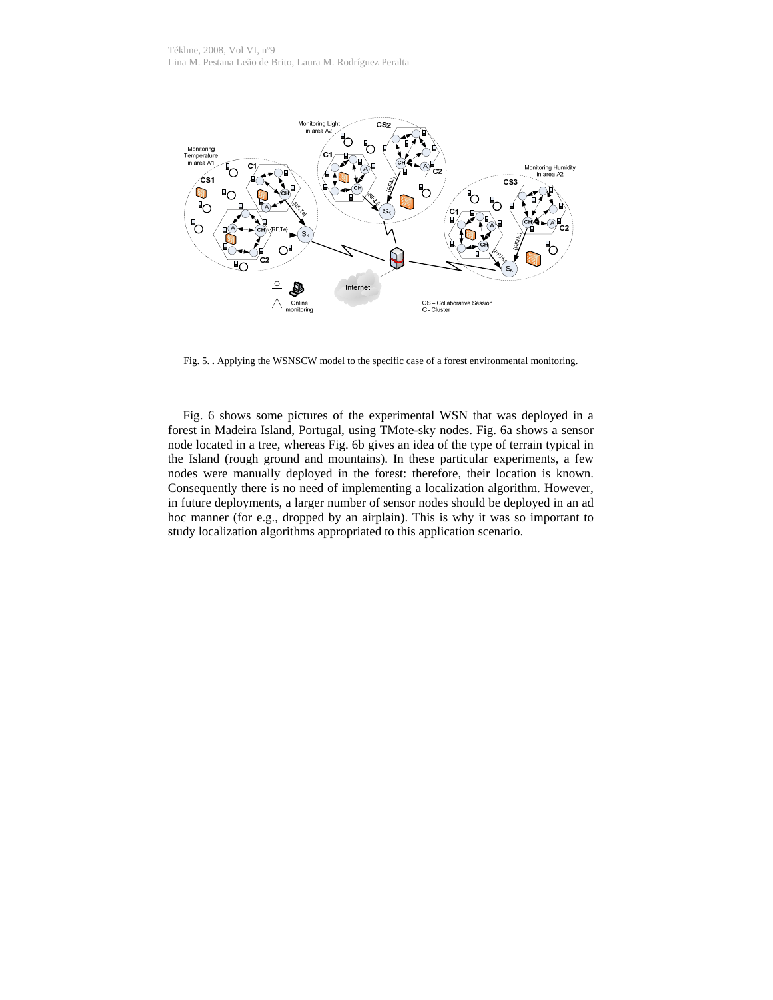

Fig. 5. **. Applying the WSNSCW model to the specific case of a forest environmental monitoring.** 

Fig. 6 shows some pictures of the experimental WSN that was deployed in a forest in Madeira Island, Portugal, using TMote-sky nodes. Fig. 6a shows a sensor node located in a tree, whereas Fig. 6b gives an idea of the type of terrain typical in the Island (rough ground and mountains). In these particular experiments, a few nodes were manually deployed in the forest: therefore, their location is known. Consequently there is no need of implementing a localization algorithm. However, in future deployments, a larger number of sensor nodes should be deployed in an ad hoc manner (for e.g., dropped by an airplain). This is why it was so important to study localization algorithms appropriated to this application scenario.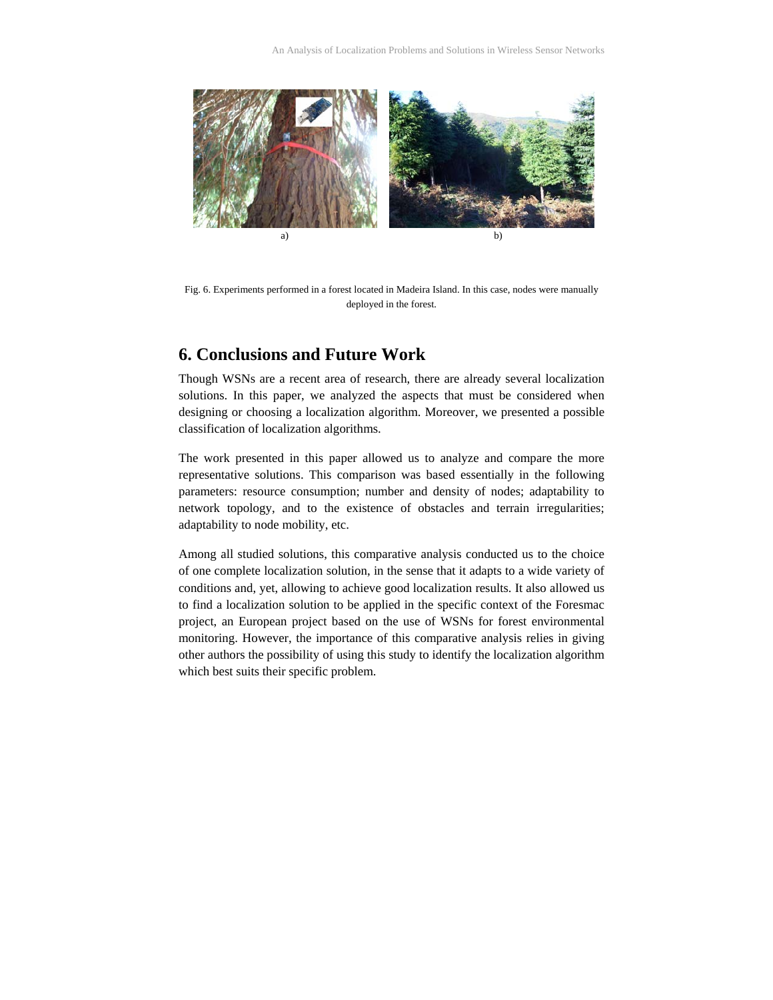

Fig. 6. Experiments performed in a forest located in Madeira Island. In this case, nodes were manually deployed in the forest.

## **6. Conclusions and Future Work**

Though WSNs are a recent area of research, there are already several localization solutions. In this paper, we analyzed the aspects that must be considered when designing or choosing a localization algorithm. Moreover, we presented a possible classification of localization algorithms.

The work presented in this paper allowed us to analyze and compare the more representative solutions. This comparison was based essentially in the following parameters: resource consumption; number and density of nodes; adaptability to network topology, and to the existence of obstacles and terrain irregularities; adaptability to node mobility, etc.

Among all studied solutions, this comparative analysis conducted us to the choice of one complete localization solution, in the sense that it adapts to a wide variety of conditions and, yet, allowing to achieve good localization results. It also allowed us to find a localization solution to be applied in the specific context of the Foresmac project, an European project based on the use of WSNs for forest environmental monitoring. However, the importance of this comparative analysis relies in giving other authors the possibility of using this study to identify the localization algorithm which best suits their specific problem.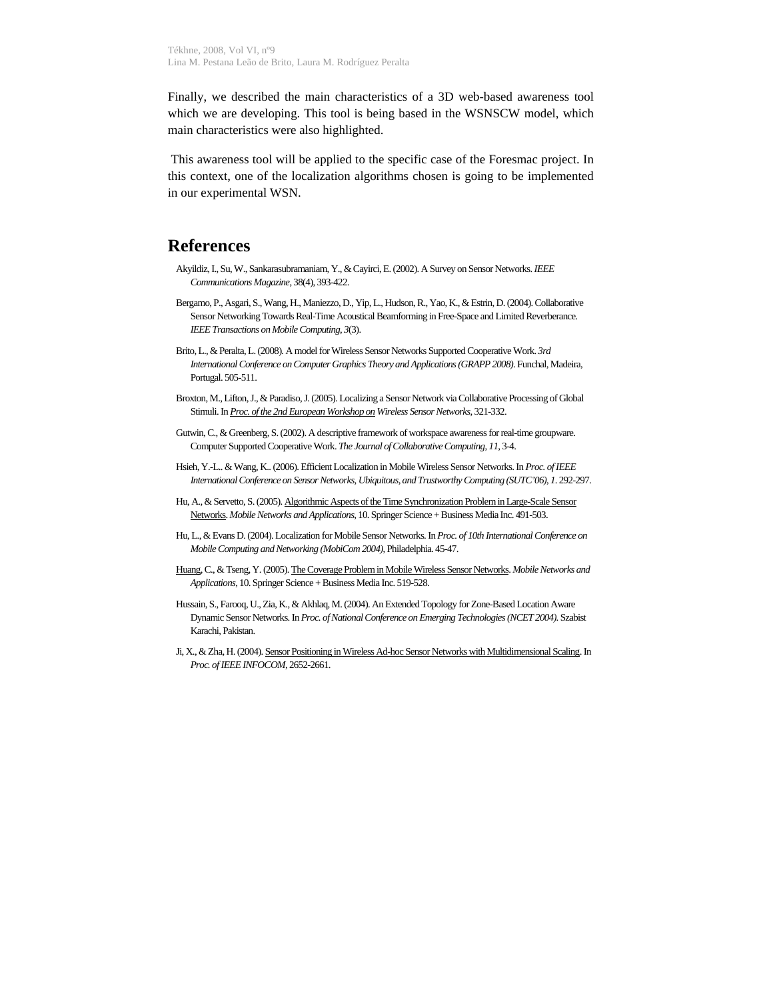Finally, we described the main characteristics of a 3D web-based awareness tool which we are developing. This tool is being based in the WSNSCW model, which main characteristics were also highlighted.

 This awareness tool will be applied to the specific case of the Foresmac project. In this context, one of the localization algorithms chosen is going to be implemented in our experimental WSN.

## **References**

- Akyildiz, I., Su, W., Sankarasubramaniam, Y., & Cayirci, E. (2002). A Survey on Sensor Networks. *IEEE Communications Magazine*, 38(4), 393-422.
- Bergamo, P., Asgari, S., Wang, H., Maniezzo, D., Yip, L., Hudson, R., Yao, K., & Estrin, D. (2004). Collaborative Sensor Networking Towards Real-Time Acoustical Beamforming in Free-Space and Limited Reverberance. *IEEE Transactions on Mobile Computing*, *3*(3).
- Brito, L., & Peralta, L. (2008). A model for Wireless Sensor Networks Supported Cooperative Work. *3rd International Conference on Computer Graphics Theory and Applications (GRAPP 2008)*. Funchal, Madeira, Portugal. 505-511.
- Broxton, M., Lifton, J., & Paradiso, J. (2005). Localizing a Sensor Network via Collaborative Processing of Global Stimuli. In *Proc. of the 2nd European Workshop on Wireless Sensor Networks*, 321-332.
- Gutwin, C., & Greenberg, S. (2002). A descriptive framework of workspace awareness for real-time groupware. Computer Supported Cooperative Work. *The Journal of Collaborative Computing*, *11*, 3-4.
- Hsieh, Y.-L.. & Wang, K.. (2006). Efficient Localization in Mobile Wireless Sensor Networks. In *Proc. of IEEE International Conference on Sensor Networks, Ubiquitous, and Trustworthy Computing (SUTC'06)*, *1*. 292-297.
- Hu, A., & Servetto, S. (2005). Algorithmic Aspects of the Time Synchronization Problem in Large-Scale Sensor Networks. *Mobile Networks and Applications*, 10. Springer Science + Business Media Inc. 491-503.
- Hu, L., & Evans D. (2004). Localization for Mobile Sensor Networks. In *Proc. of 10th International Conference on Mobile Computing and Networking (MobiCom 2004)*, Philadelphia. 45-47.
- Huang, C., & Tseng, Y. (2005). The Coverage Problem in Mobile Wireless Sensor Networks. *Mobile Networks and Applications*, 10. Springer Science + Business Media Inc. 519-528.
- Hussain, S., Farooq, U., Zia, K., & Akhlaq, M. (2004). An Extended Topology for Zone-Based Location Aware Dynamic Sensor Networks. In *Proc. of National Conference on Emerging Technologies (NCET 2004)*. Szabist Karachi, Pakistan.
- Ji, X., & Zha, H. (2004). Sensor Positioning in Wireless Ad-hoc Sensor Networks with Multidimensional Scaling. In *Proc. of IEEE INFOCOM*, 2652-2661.